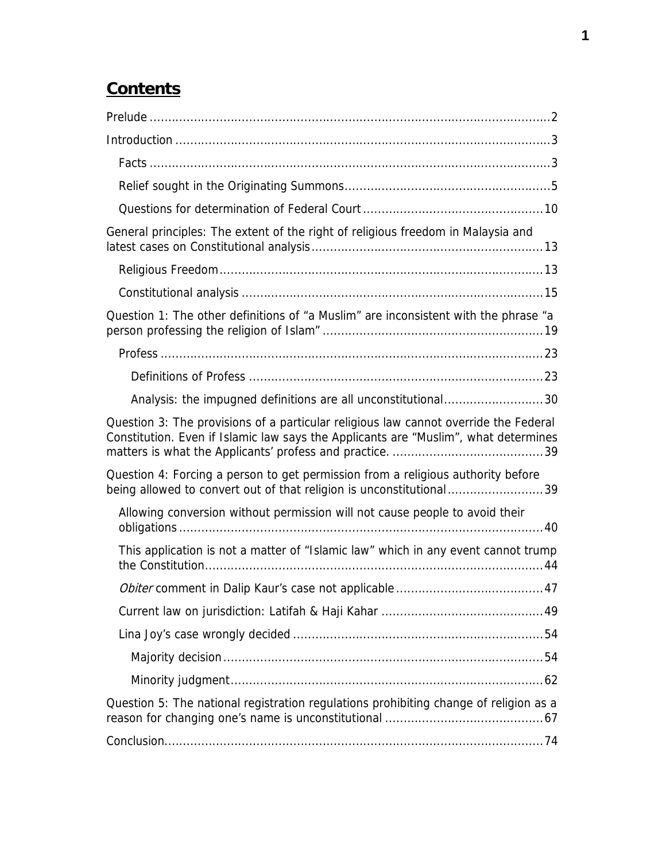# **Contents**

| General principles: The extent of the right of religious freedom in Malaysia and                                                                                            |
|-----------------------------------------------------------------------------------------------------------------------------------------------------------------------------|
|                                                                                                                                                                             |
|                                                                                                                                                                             |
| Question 1: The other definitions of "a Muslim" are inconsistent with the phrase "a                                                                                         |
|                                                                                                                                                                             |
|                                                                                                                                                                             |
| Analysis: the impugned definitions are all unconstitutional30                                                                                                               |
| Question 3: The provisions of a particular religious law cannot override the Federal<br>Constitution. Even if Islamic law says the Applicants are "Muslim", what determines |
| Question 4: Forcing a person to get permission from a religious authority before<br>being allowed to convert out of that religion is unconstitutional39                     |
| Allowing conversion without permission will not cause people to avoid their                                                                                                 |
| This application is not a matter of "Islamic law" which in any event cannot trump                                                                                           |
|                                                                                                                                                                             |
|                                                                                                                                                                             |
|                                                                                                                                                                             |
|                                                                                                                                                                             |
|                                                                                                                                                                             |
| Question 5: The national registration regulations prohibiting change of religion as a                                                                                       |
|                                                                                                                                                                             |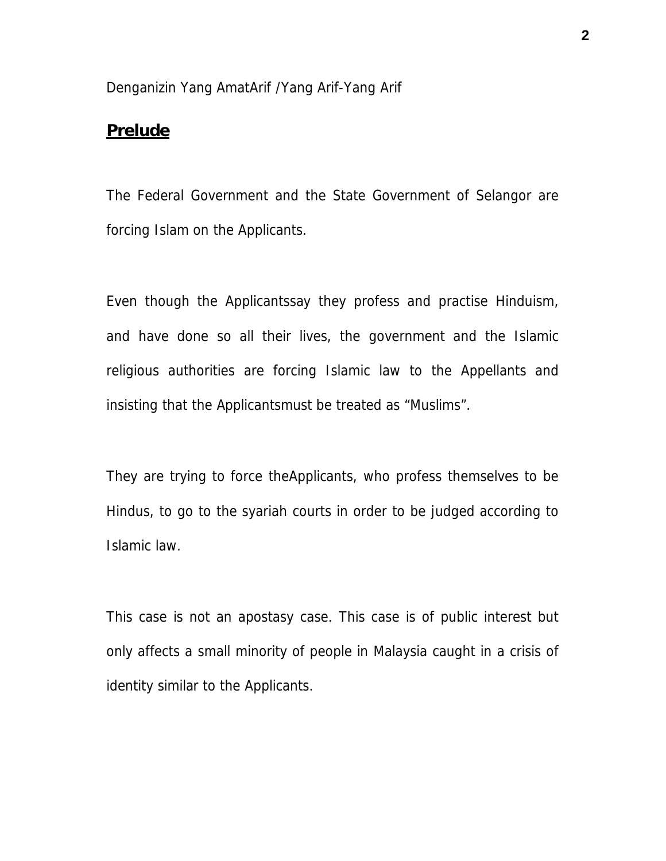#### Denganizin Yang AmatArif /Yang Arif-Yang Arif

#### **Prelude**

The Federal Government and the State Government of Selangor are forcing Islam on the Applicants.

Even though the Applicantssay they profess and practise Hinduism, and have done so all their lives, the government and the Islamic religious authorities are forcing Islamic law to the Appellants and insisting that the Applicantsmust be treated as "Muslims".

They are trying to force theApplicants, who profess themselves to be Hindus, to go to the syariah courts in order to be judged according to Islamic law.

This case is not an apostasy case. This case is of public interest but only affects a small minority of people in Malaysia caught in a crisis of identity similar to the Applicants.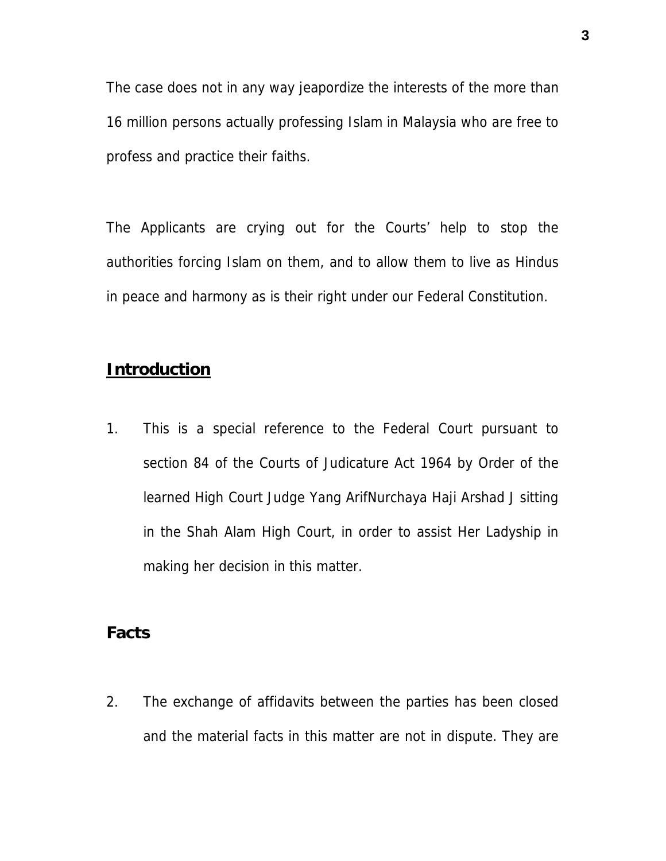The case does not in any way jeapordize the interests of the more than 16 million persons actually professing Islam in Malaysia who are free to profess and practice their faiths.

The Applicants are crying out for the Courts' help to stop the authorities forcing Islam on them, and to allow them to live as Hindus in peace and harmony as is their right under our Federal Constitution.

### **Introduction**

1. This is a special reference to the Federal Court pursuant to section 84 of the Courts of Judicature Act 1964 by Order of the learned High Court Judge Yang ArifNurchaya Haji Arshad J sitting in the Shah Alam High Court, in order to assist Her Ladyship in making her decision in this matter.

# **Facts**

2. The exchange of affidavits between the parties has been closed and the material facts in this matter are not in dispute. They are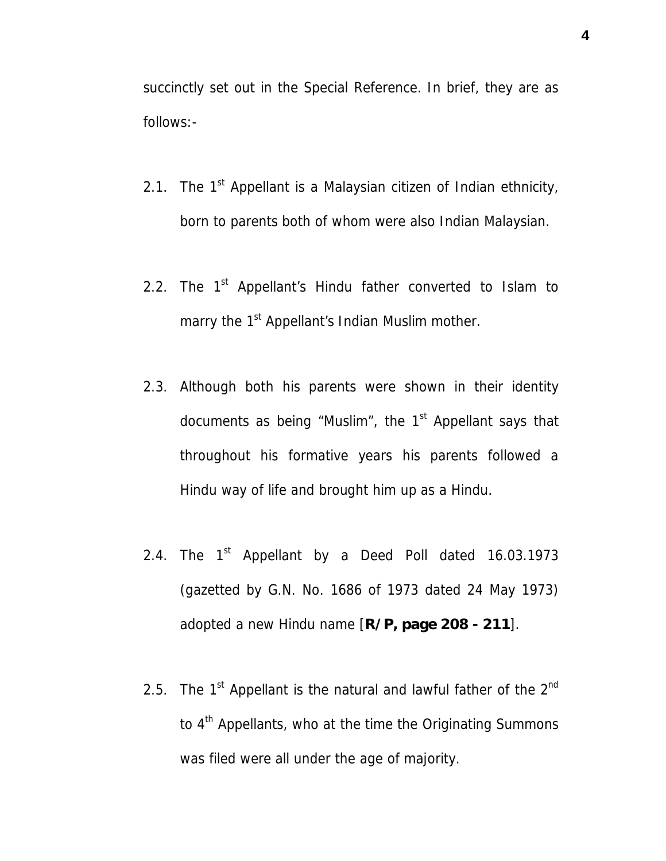succinctly set out in the Special Reference. In brief, they are as follows:-

- 2.1. The  $1<sup>st</sup>$  Appellant is a Malaysian citizen of Indian ethnicity, born to parents both of whom were also Indian Malaysian.
- 2.2. The  $1<sup>st</sup>$  Appellant's Hindu father converted to Islam to marry the 1<sup>st</sup> Appellant's Indian Muslim mother.
- 2.3. Although both his parents were shown in their identity documents as being "Muslim", the  $1<sup>st</sup>$  Appellant says that throughout his formative years his parents followed a Hindu way of life and brought him up as a Hindu.
- 2.4. The  $1<sup>st</sup>$  Appellant by a Deed Poll dated 16.03.1973 (gazetted by G.N. No. 1686 of 1973 dated 24 May 1973) adopted a new Hindu name [**R/P, page 208 - 211**].
- 2.5. The  $1<sup>st</sup>$  Appellant is the natural and lawful father of the  $2<sup>nd</sup>$ to 4<sup>th</sup> Appellants, who at the time the Originating Summons was filed were all under the age of majority.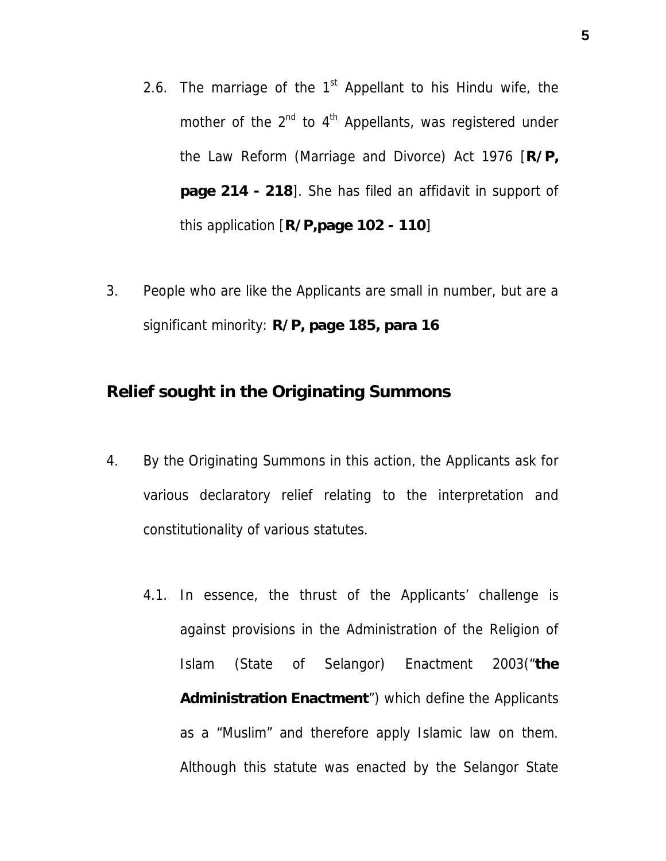- 2.6. The marriage of the  $1<sup>st</sup>$  Appellant to his Hindu wife, the mother of the  $2^{nd}$  to  $4^{th}$  Appellants, was registered under the Law Reform (Marriage and Divorce) Act 1976 [**R/P, page 214 - 218**]. She has filed an affidavit in support of this application [**R/P,page 102 - 110**]
- 3. People who are like the Applicants are small in number, but are a significant minority: **R/P, page 185, para 16**

**Relief sought in the Originating Summons**

- 4. By the Originating Summons in this action, the Applicants ask for various declaratory relief relating to the interpretation and constitutionality of various statutes.
	- 4.1. In essence, the thrust of the Applicants' challenge is against provisions in the Administration of the Religion of Islam (State of Selangor) Enactment 2003("**the Administration Enactment**") which define the Applicants as a "Muslim" and therefore apply Islamic law on them. Although this statute was enacted by the Selangor State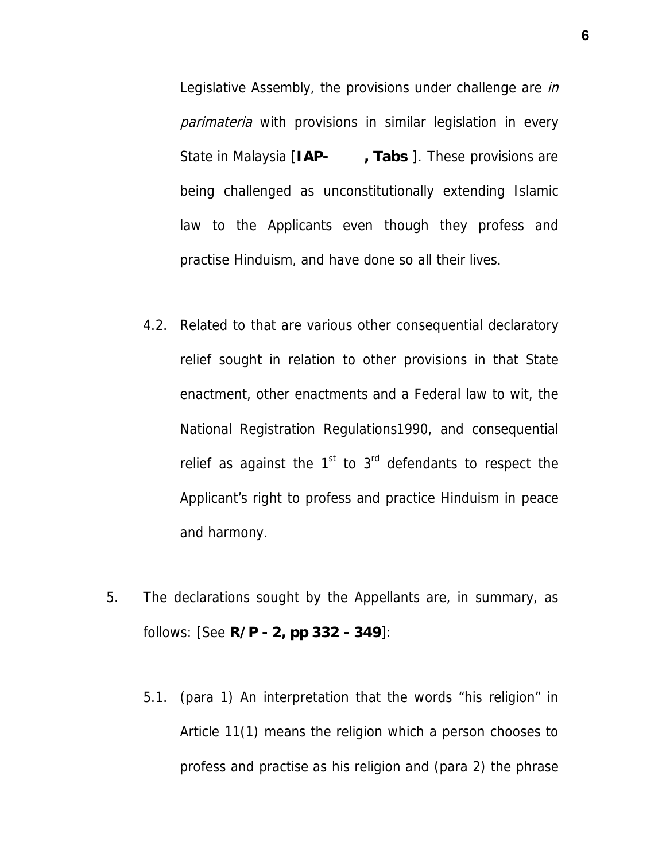Legislative Assembly, the provisions under challenge are in parimateria with provisions in similar legislation in every State in Malaysia [**IAP- , Tabs** ]. These provisions are being challenged as unconstitutionally extending Islamic law to the Applicants even though they profess and practise Hinduism, and have done so all their lives.

- 4.2. Related to that are various other consequential declaratory relief sought in relation to other provisions in that State enactment, other enactments and a Federal law to wit, the National Registration Regulations1990, and consequential relief as against the  $1<sup>st</sup>$  to  $3<sup>rd</sup>$  defendants to respect the Applicant's right to profess and practice Hinduism in peace and harmony.
- 5. The declarations sought by the Appellants are, in summary, as follows: [See **R/P - 2, pp 332 - 349**]:
	- 5.1. (para 1) An interpretation that the words "his religion" in Article 11(1) means the religion which a person chooses to profess and practise as his religion and (para 2) the phrase

**6**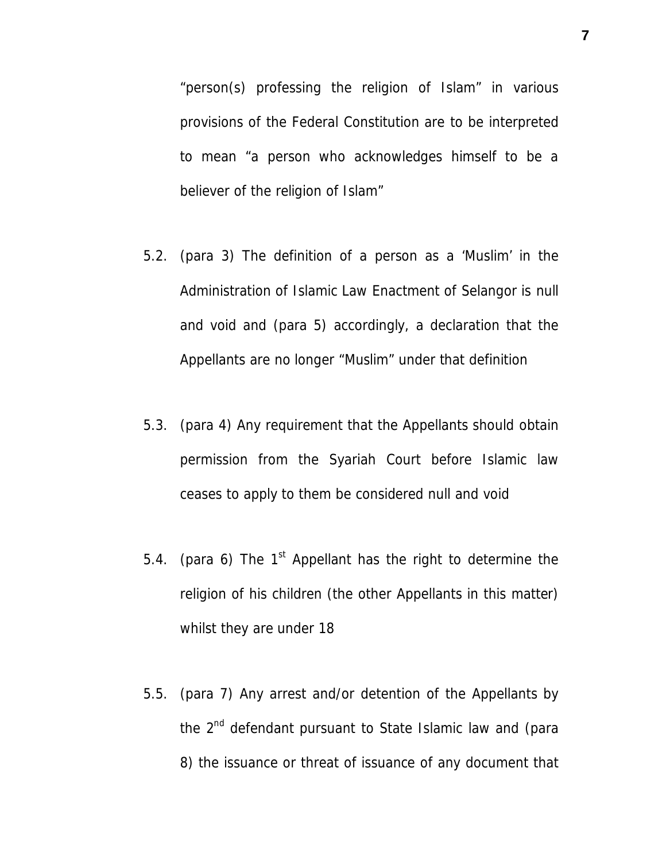"person(s) professing the religion of Islam" in various provisions of the Federal Constitution are to be interpreted to mean "a person who acknowledges himself to be a believer of the religion of Islam"

- 5.2. (para 3) The definition of a person as a 'Muslim' in the Administration of Islamic Law Enactment of Selangor is null and void and (para 5) accordingly, a declaration that the Appellants are no longer "Muslim" under that definition
- 5.3. (para 4) Any requirement that the Appellants should obtain permission from the Syariah Court before Islamic law ceases to apply to them be considered null and void
- 5.4. (para 6) The  $1<sup>st</sup>$  Appellant has the right to determine the religion of his children (the other Appellants in this matter) whilst they are under 18
- 5.5. (para 7) Any arrest and/or detention of the Appellants by the 2<sup>nd</sup> defendant pursuant to State Islamic law and (para 8) the issuance or threat of issuance of any document that

**7**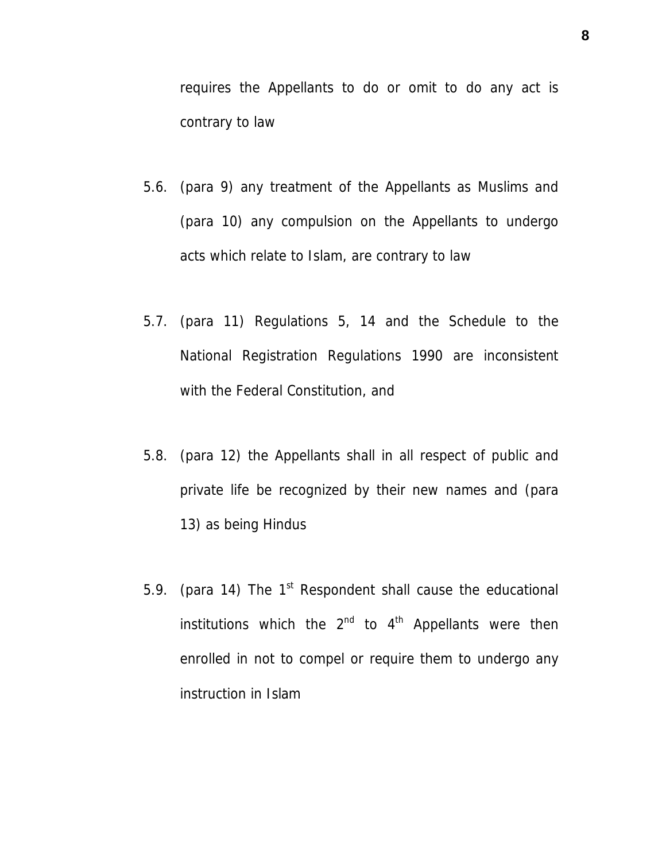requires the Appellants to do or omit to do any act is contrary to law

- 5.6. (para 9) any treatment of the Appellants as Muslims and (para 10) any compulsion on the Appellants to undergo acts which relate to Islam, are contrary to law
- 5.7. (para 11) Regulations 5, 14 and the Schedule to the National Registration Regulations 1990 are inconsistent with the Federal Constitution, and
- 5.8. (para 12) the Appellants shall in all respect of public and private life be recognized by their new names and (para 13) as being Hindus
- 5.9. (para 14) The  $1<sup>st</sup>$  Respondent shall cause the educational institutions which the  $2^{nd}$  to  $4^{th}$  Appellants were then enrolled in not to compel or require them to undergo any instruction in Islam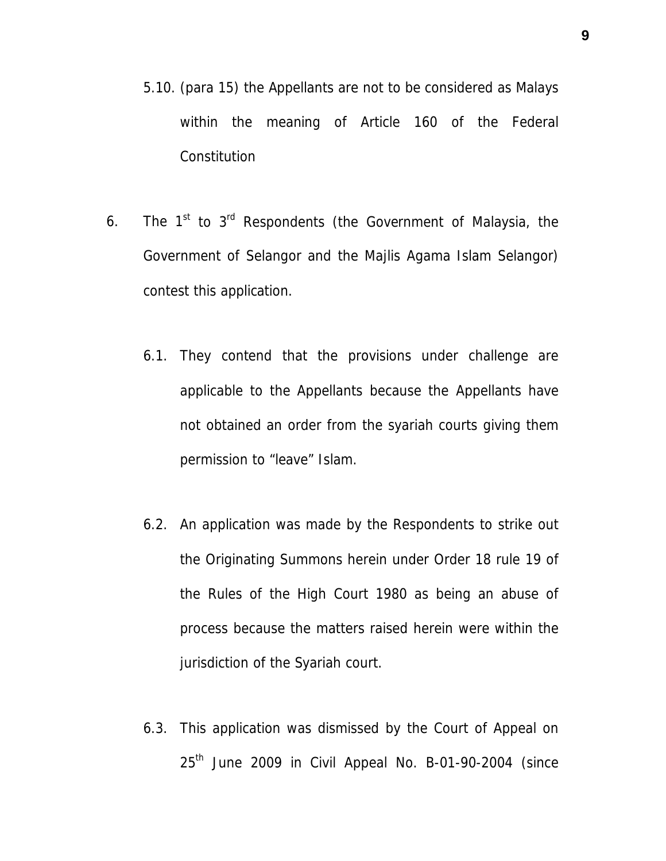- 5.10. (para 15) the Appellants are not to be considered as Malays within the meaning of Article 160 of the Federal **Constitution**
- 6. The  $1^{st}$  to  $3^{rd}$  Respondents (the Government of Malaysia, the Government of Selangor and the Majlis Agama Islam Selangor) contest this application.
	- 6.1. They contend that the provisions under challenge are applicable to the Appellants because the Appellants have not obtained an order from the syariah courts giving them permission to "leave" Islam.
	- 6.2. An application was made by the Respondents to strike out the Originating Summons herein under Order 18 rule 19 of the Rules of the High Court 1980 as being an abuse of process because the matters raised herein were within the jurisdiction of the Syariah court.
	- 6.3. This application was dismissed by the Court of Appeal on  $25<sup>th</sup>$  June 2009 in Civil Appeal No. B-01-90-2004 (since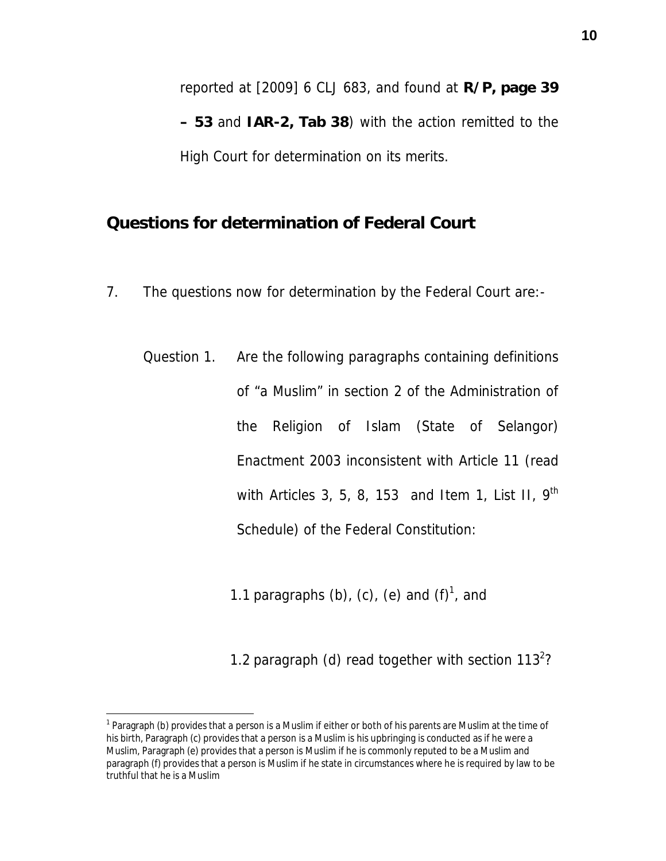reported at [2009] 6 CLJ 683, and found at **R/P, page 39 – 53** and **IAR-2, Tab 38**) with the action remitted to the High Court for determination on its merits.

**Questions for determination of Federal Court**

- 7. The questions now for determination by the Federal Court are:-
	- Question 1. Are the following paragraphs containing definitions of "a Muslim" in section 2 of the Administration of the Religion of Islam (State of Selangor) Enactment 2003 inconsistent with Article 11 (read with Articles 3, 5, 8, 153 and Item 1, List II,  $9<sup>th</sup>$ Schedule) of the Federal Constitution:

1.1 paragraphs (b), (c), (e) and  $(f)^1$ , and

1.2 paragraph (d) read together with section  $113^2$ ?

<sup>&</sup>lt;sup>1</sup> Paragraph (b) provides that a person is a Muslim if either or both of his parents are Muslim at the time of his birth, Paragraph (c) provides that a person is a Muslim is his upbringing is conducted as if he were a Muslim, Paragraph (e) provides that a person is Muslim if he is commonly reputed to be a Muslim and paragraph (f) provides that a person is Muslim if he state in circumstances where he is required by law to be truthful that he is a Muslim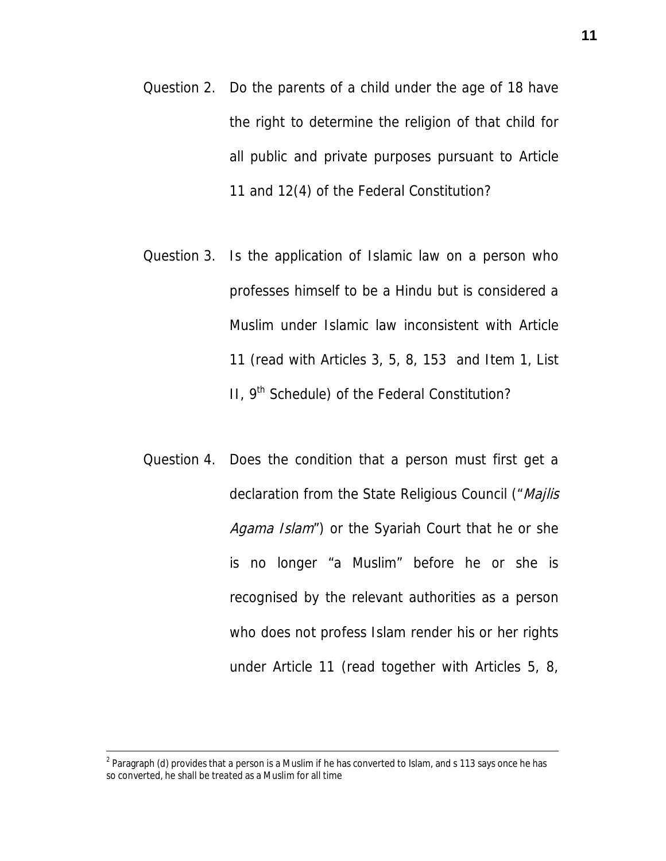- Question 2. Do the parents of a child under the age of 18 have the right to determine the religion of that child for all public and private purposes pursuant to Article 11 and 12(4) of the Federal Constitution?
- Question 3. Is the application of Islamic law on a person who professes himself to be a Hindu but is considered a Muslim under Islamic law inconsistent with Article 11 (read with Articles 3, 5, 8, 153 and Item 1, List II,  $9<sup>th</sup>$  Schedule) of the Federal Constitution?
- Question 4. Does the condition that a person must first get a declaration from the State Religious Council ("Majlis Agama Islam") or the Syariah Court that he or she is no longer "a Muslim" before he or she is recognised by the relevant authorities as a person who does not profess Islam render his or her rights under Article 11 (read together with Articles 5, 8,

 $<sup>2</sup>$  Paragraph (d) provides that a person is a Muslim if he has converted to Islam, and s 113 says once he has</sup> so converted, he shall be treated as a Muslim for all time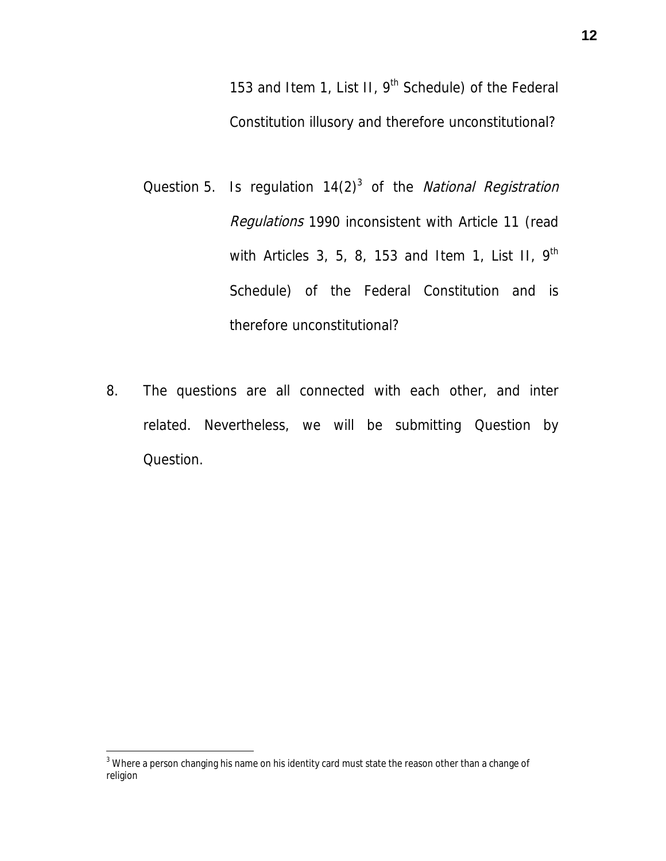153 and Item 1, List II, 9<sup>th</sup> Schedule) of the Federal Constitution illusory and therefore unconstitutional?

- Question 5. Is regulation  $14(2)^3$  of the *National Registration* Regulations 1990 inconsistent with Article 11 (read with Articles 3, 5, 8, 153 and Item 1, List II,  $9<sup>th</sup>$ Schedule) of the Federal Constitution and is therefore unconstitutional?
- 8. The questions are all connected with each other, and inter related. Nevertheless, we will be submitting Question by Question.

 $^3$  Where a person changing his name on his identity card must state the reason other than a change of religion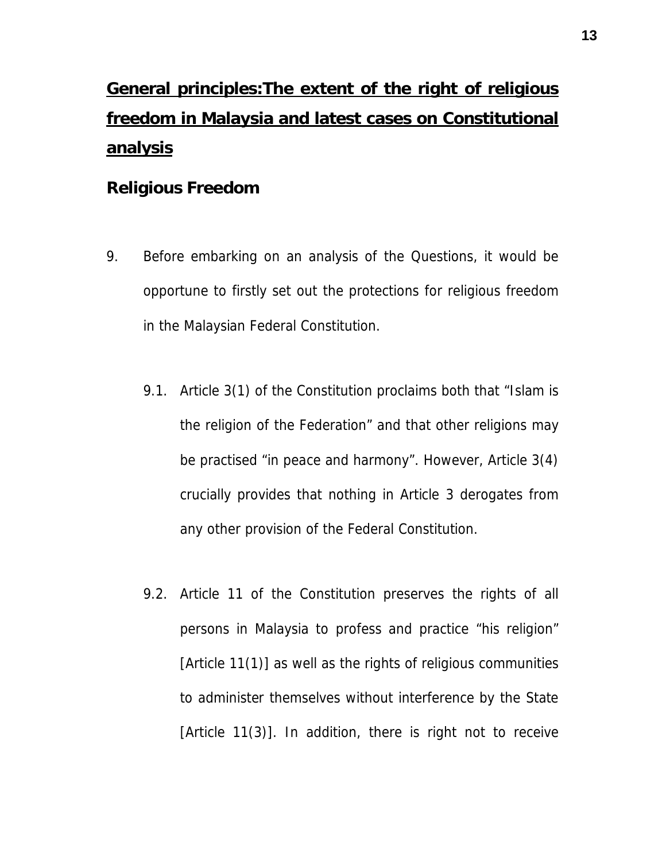# **General principles:The extent of the right of religious freedom in Malaysia and latest cases on Constitutional analysis**

## **Religious Freedom**

- 9. Before embarking on an analysis of the Questions, it would be opportune to firstly set out the protections for religious freedom in the Malaysian Federal Constitution.
	- 9.1. Article 3(1) of the Constitution proclaims both that "Islam is the religion of the Federation" and that other religions may be practised "in peace and harmony". However, Article 3(4) crucially provides that nothing in Article 3 derogates from any other provision of the Federal Constitution.
	- 9.2. Article 11 of the Constitution preserves the rights of all persons in Malaysia to profess and practice "his religion" [Article 11(1)] as well as the rights of religious communities to administer themselves without interference by the State [Article 11(3)]. In addition, there is right not to receive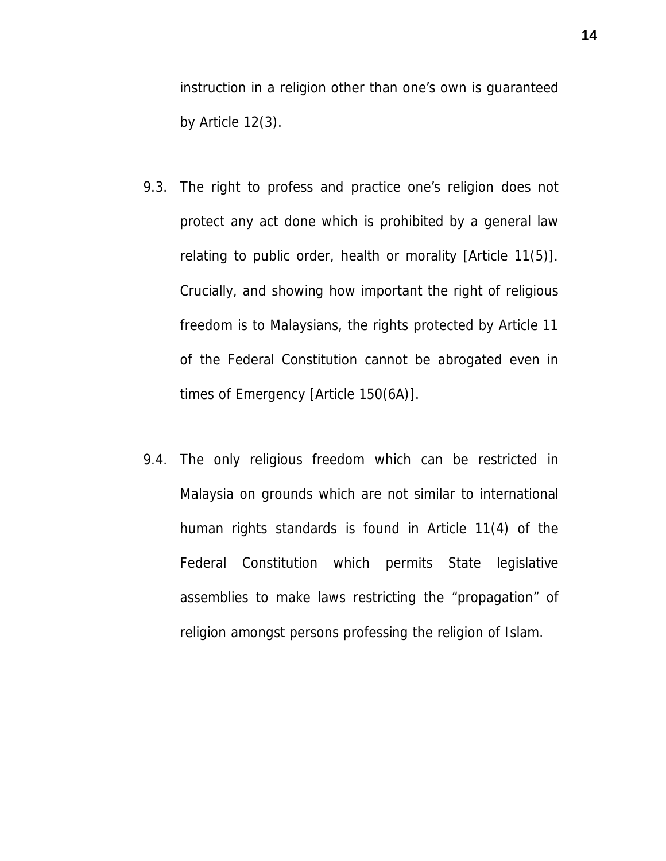instruction in a religion other than one's own is guaranteed by Article 12(3).

- 9.3. The right to profess and practice one's religion does not protect any act done which is prohibited by a general law relating to public order, health or morality [Article 11(5)]. Crucially, and showing how important the right of religious freedom is to Malaysians, the rights protected by Article 11 of the Federal Constitution cannot be abrogated even in times of Emergency [Article 150(6A)].
- 9.4. The only religious freedom which can be restricted in Malaysia on grounds which are not similar to international human rights standards is found in Article 11(4) of the Federal Constitution which permits State legislative assemblies to make laws restricting the "propagation" of religion amongst persons professing the religion of Islam.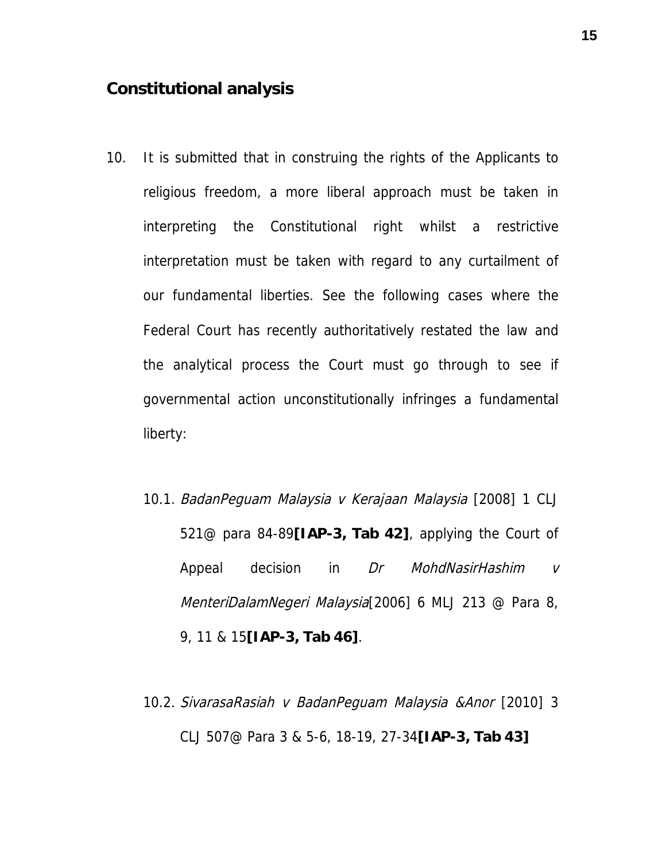#### **Constitutional analysis**

- 10. It is submitted that in construing the rights of the Applicants to religious freedom, a more liberal approach must be taken in interpreting the Constitutional right whilst a restrictive interpretation must be taken with regard to any curtailment of our fundamental liberties. See the following cases where the Federal Court has recently authoritatively restated the law and the analytical process the Court must go through to see if governmental action unconstitutionally infringes a fundamental liberty:
	- 10.1. BadanPeguam Malaysia v Kerajaan Malaysia [2008] 1 CLJ 521@ para 84-89**[IAP-3, Tab 42]**, applying the Court of Appeal decision in Dr MohdNasirHashim v MenteriDalamNegeri Malaysia[2006] 6 MLJ 213 @ Para 8, 9, 11 & 15**[IAP-3, Tab 46]**.
	- 10.2. SivarasaRasiah v BadanPeguam Malaysia &Anor [2010] 3 CLJ 507@ Para 3 & 5-6, 18-19, 27-34**[IAP-3, Tab 43]**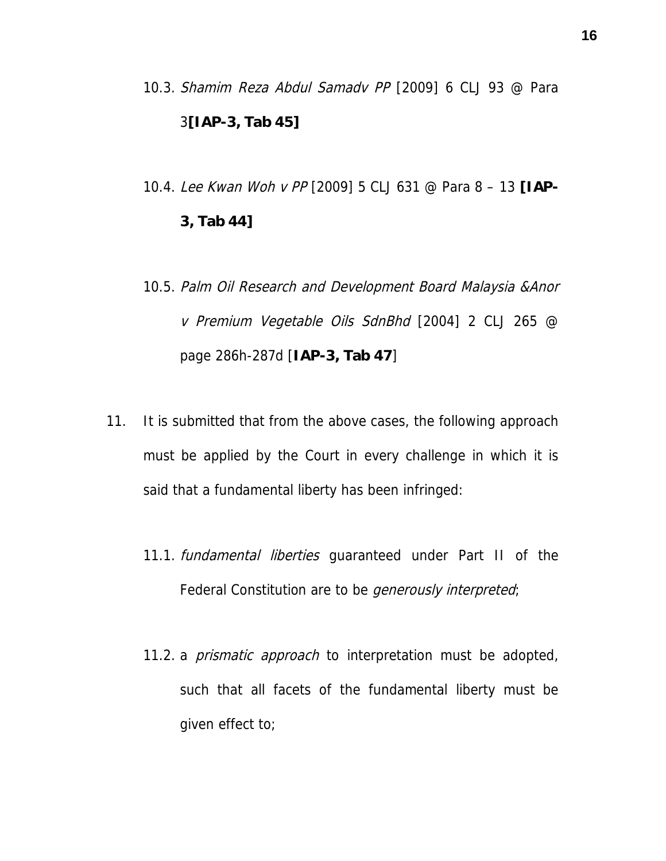- 10.3. Shamim Reza Abdul Samadv PP [2009] 6 CLJ 93 @ Para 3**[IAP-3, Tab 45]**
- 10.4. Lee Kwan Woh v PP [2009] 5 CLJ 631 @ Para 8 13 **[IAP-3, Tab 44]**
- 10.5. Palm Oil Research and Development Board Malaysia &Anor v Premium Vegetable Oils SdnBhd [2004] 2 CLJ 265 @ page 286h-287d [**IAP-3, Tab 47**]
- 11. It is submitted that from the above cases, the following approach must be applied by the Court in every challenge in which it is said that a fundamental liberty has been infringed:
	- 11.1. *fundamental liberties* quaranteed under Part II of the Federal Constitution are to be *generously interpreted*;
	- 11.2. a *prismatic approach* to interpretation must be adopted, such that all facets of the fundamental liberty must be given effect to;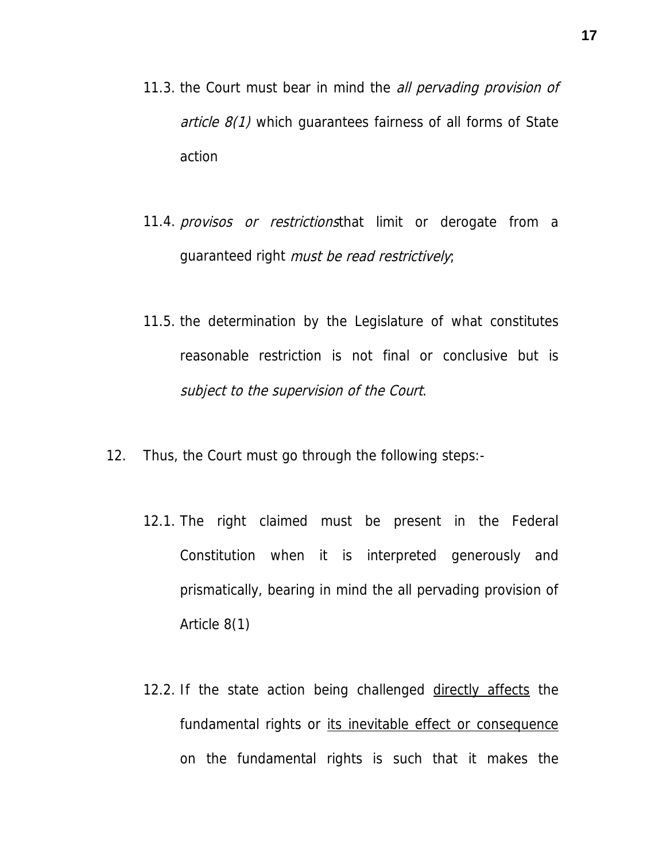- 11.3. the Court must bear in mind the *all pervading provision of article*  $8(1)$  which quarantees fairness of all forms of State action
- 11.4. provisos or restrictionsthat limit or derogate from a guaranteed right must be read restrictively;
- 11.5. the determination by the Legislature of what constitutes reasonable restriction is not final or conclusive but is subject to the supervision of the Court.
- 12. Thus, the Court must go through the following steps:-
	- 12.1. The right claimed must be present in the Federal Constitution when it is interpreted generously and prismatically, bearing in mind the all pervading provision of Article 8(1)
	- 12.2. If the state action being challenged directly affects the fundamental rights or its inevitable effect or consequence on the fundamental rights is such that it makes the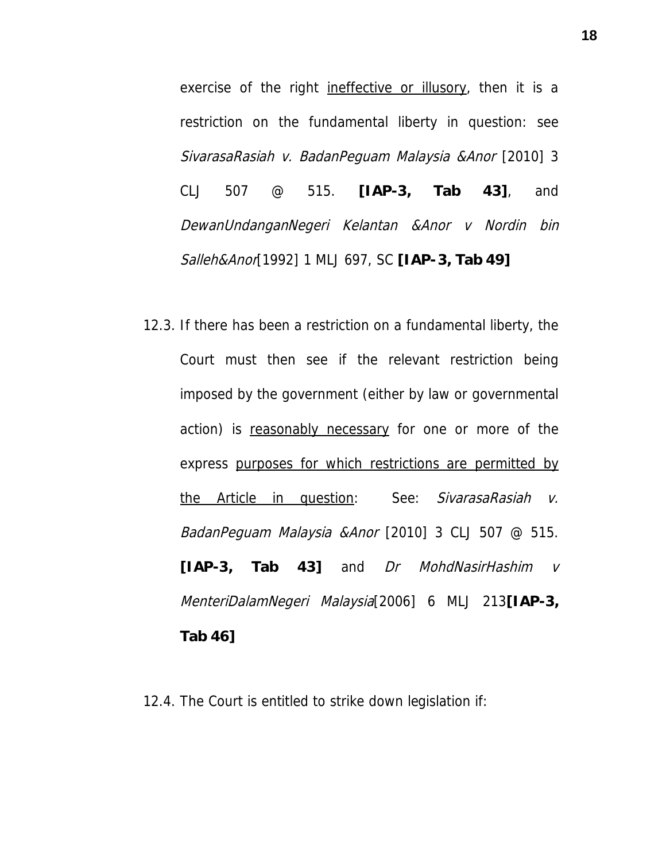exercise of the right ineffective or illusory, then it is a restriction on the fundamental liberty in question: see SivarasaRasiah v. BadanPeguam Malaysia &Anor [2010] 3 CLJ 507 @ 515. **[IAP-3, Tab 43]**, and DewanUndanganNegeri Kelantan &Anor v Nordin bin Salleh&Anor[1992] 1 MLJ 697, SC **[IAP-3, Tab 49]**

12.3. If there has been a restriction on a fundamental liberty, the Court must then see if the relevant restriction being imposed by the government (either by law or governmental action) is reasonably necessary for one or more of the express purposes for which restrictions are permitted by the Article in question: See: SivarasaRasiah v. BadanPeguam Malaysia &Anor [2010] 3 CLJ 507 @ 515. **[IAP-3, Tab 43]** and Dr MohdNasirHashim v MenteriDalamNegeri Malaysia[2006] 6 MLJ 213**[IAP-3, Tab 46]**

12.4. The Court is entitled to strike down legislation if: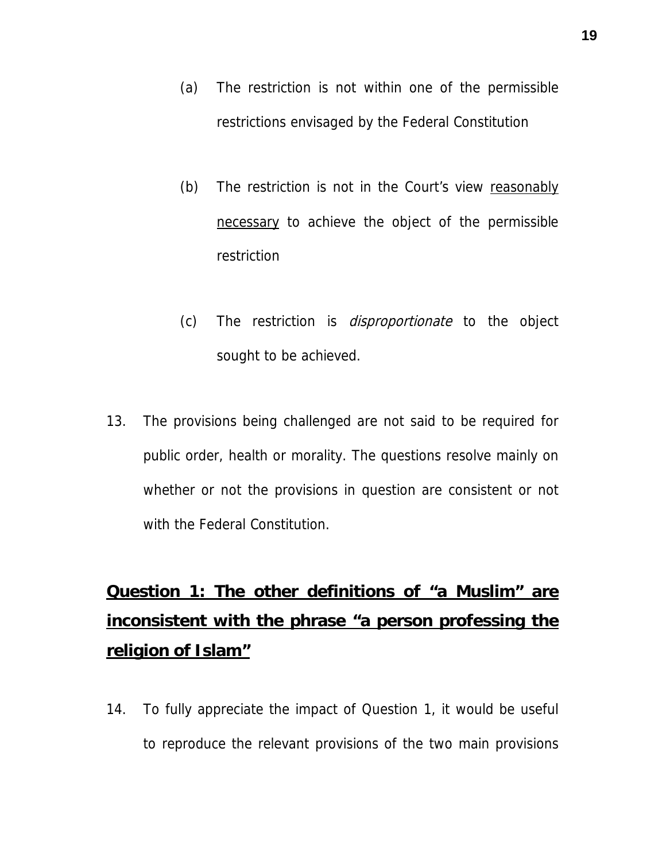- (a) The restriction is not within one of the permissible restrictions envisaged by the Federal Constitution
- (b) The restriction is not in the Court's view reasonably necessary to achieve the object of the permissible restriction
- (c) The restriction is disproportionate to the object sought to be achieved.
- 13. The provisions being challenged are not said to be required for public order, health or morality. The questions resolve mainly on whether or not the provisions in question are consistent or not with the Federal Constitution.

# **Question 1: The other definitions of "a Muslim" are inconsistent with the phrase "a person professing the religion of Islam"**

14. To fully appreciate the impact of Question 1, it would be useful to reproduce the relevant provisions of the two main provisions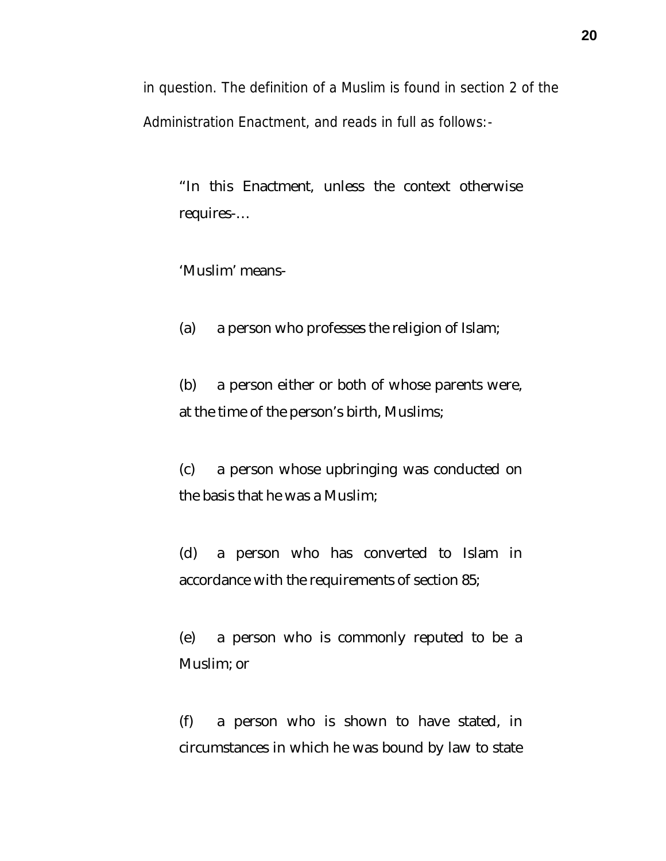in question. The definition of a Muslim is found in section 2 of the Administration Enactment, and reads in full as follows:-

"In this Enactment, unless the context otherwise requires-…

'Muslim' means-

(a) a person who professes the religion of Islam;

(b) a person either or both of whose parents were, at the time of the person's birth, Muslims;

(c) a person whose upbringing was conducted on the basis that he was a Muslim;

(d) a person who has converted to Islam in accordance with the requirements of section 85;

(e) a person who is commonly reputed to be a Muslim; or

(f) a person who is shown to have stated, in circumstances in which he was bound by law to state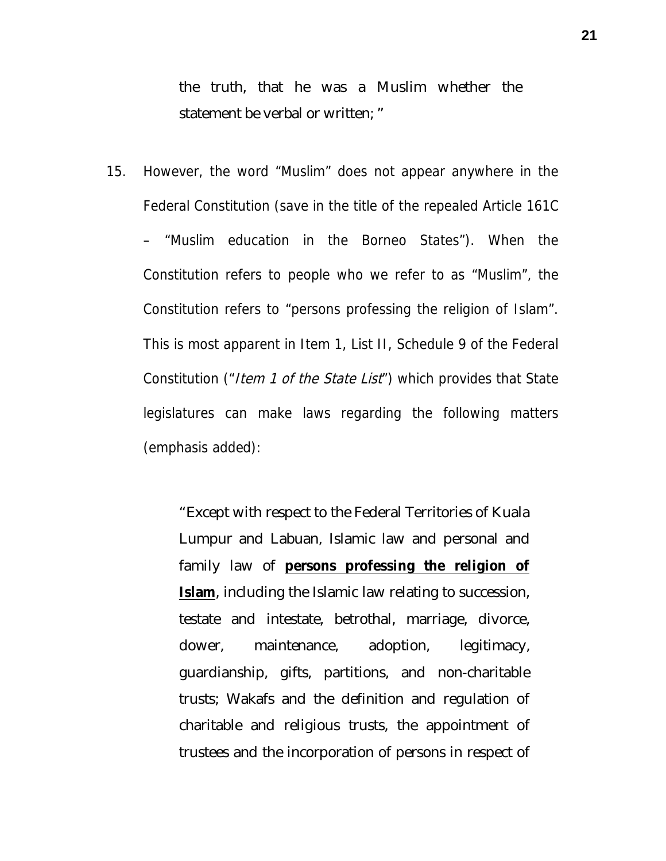the truth, that he was a Muslim whether the statement be verbal or written; "

15. However, the word "Muslim" does not appear anywhere in the Federal Constitution (save in the title of the repealed Article 161C – "Muslim education in the Borneo States"). When the Constitution refers to people who we refer to as "Muslim", the Constitution refers to "persons professing the religion of Islam". This is most apparent in Item 1, List II, Schedule 9 of the Federal Constitution ("*Item 1 of the State List*") which provides that State legislatures can make laws regarding the following matters (emphasis added):

> "Except with respect to the Federal Territories of Kuala Lumpur and Labuan, Islamic law and personal and family law of **persons professing the religion of Islam**, including the Islamic law relating to succession, testate and intestate, betrothal, marriage, divorce, dower, maintenance, adoption, legitimacy, guardianship, gifts, partitions, and non-charitable trusts; Wakafs and the definition and regulation of charitable and religious trusts, the appointment of trustees and the incorporation of persons in respect of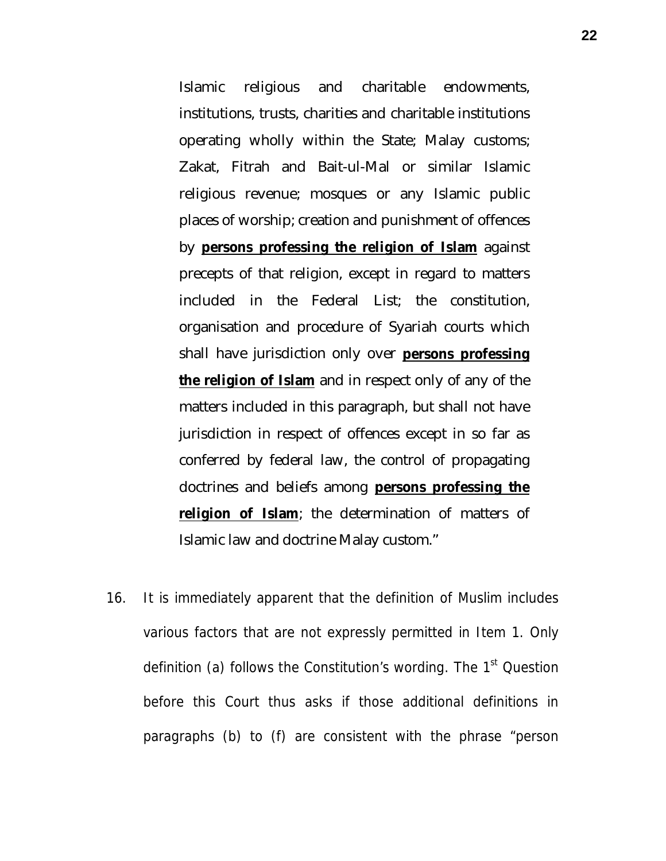Islamic religious and charitable endowments, institutions, trusts, charities and charitable institutions operating wholly within the State; Malay customs; Zakat, Fitrah and Bait-ul-Mal or similar Islamic religious revenue; mosques or any Islamic public places of worship; creation and punishment of offences by **persons professing the religion of Islam** against precepts of that religion, except in regard to matters included in the Federal List; the constitution, organisation and procedure of Syariah courts which shall have jurisdiction only over **persons professing the religion of Islam** and in respect only of any of the matters included in this paragraph, but shall not have jurisdiction in respect of offences except in so far as conferred by federal law, the control of propagating doctrines and beliefs among **persons professing the religion of Islam**; the determination of matters of Islamic law and doctrine Malay custom."

16. It is immediately apparent that the definition of Muslim includes various factors that are not expressly permitted in Item 1. Only definition (a) follows the Constitution's wording. The 1<sup>st</sup> Question before this Court thus asks if those additional definitions in paragraphs (b) to (f) are consistent with the phrase "person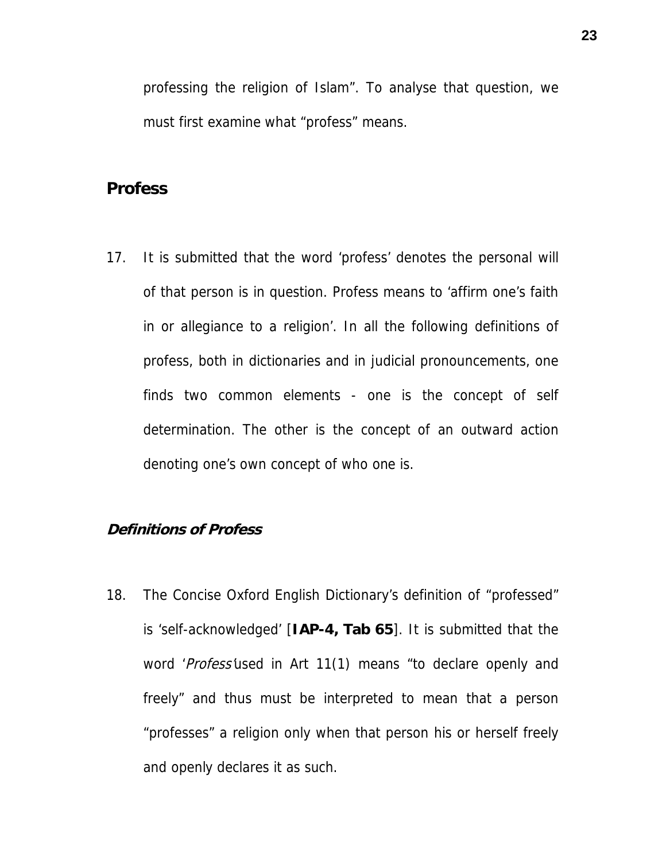professing the religion of Islam". To analyse that question, we must first examine what "profess" means.

## **Profess**

17. It is submitted that the word 'profess' denotes the personal will of that person is in question. Profess means to 'affirm one's faith in or allegiance to a religion'. In all the following definitions of profess, both in dictionaries and in judicial pronouncements, one finds two common elements - one is the concept of self determination. The other is the concept of an outward action denoting one's own concept of who one is.

#### **Definitions of Profess**

18. The Concise Oxford English Dictionary's definition of "professed" is 'self-acknowledged' [**IAP-4, Tab 65**]. It is submitted that the word 'Profess'used in Art 11(1) means "to declare openly and freely" and thus must be interpreted to mean that a person "professes" a religion only when that person his or herself freely and openly declares it as such.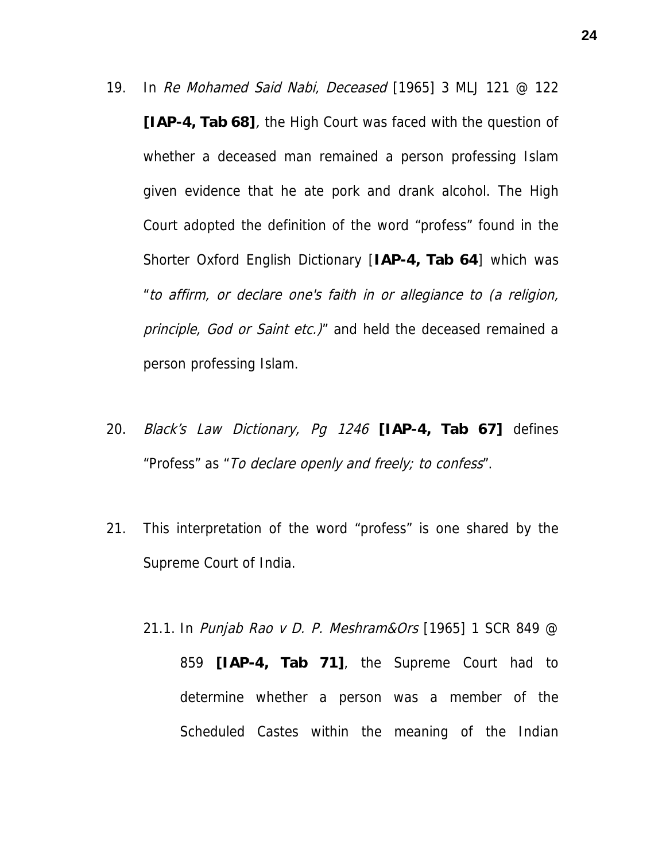- 19. In Re Mohamed Said Nabi, Deceased [1965] 3 MLJ 121 @ 122 **[IAP-4, Tab 68]**, the High Court was faced with the question of whether a deceased man remained a person professing Islam given evidence that he ate pork and drank alcohol. The High Court adopted the definition of the word "profess" found in the Shorter Oxford English Dictionary [**IAP-4, Tab 64**] which was "to affirm, or declare one's faith in or allegiance to (a religion, principle, God or Saint etc.)" and held the deceased remained a person professing Islam.
- 20. Black's Law Dictionary, Pg <sup>1246</sup> **[IAP-4, Tab 67]** defines "Profess" as "To declare openly and freely; to confess".
- 21. This interpretation of the word "profess" is one shared by the Supreme Court of India.
	- 21.1. In Punjab Rao v D. P. Meshram&Ors [1965] 1 SCR 849 @ 859 **[IAP-4, Tab 71]**, the Supreme Court had to determine whether a person was a member of the Scheduled Castes within the meaning of the Indian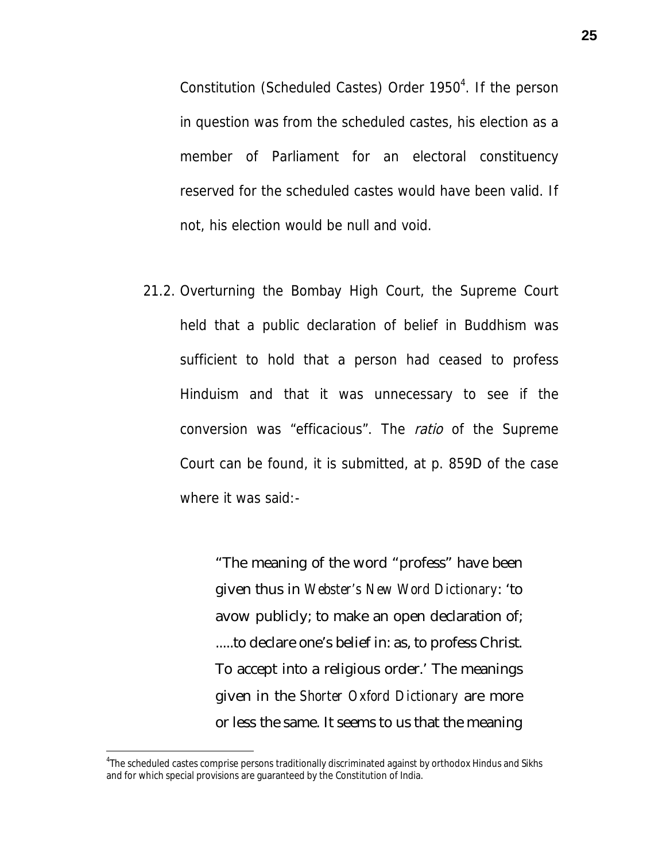Constitution (Scheduled Castes) Order 1950<sup>4</sup>. If the person in question was from the scheduled castes, his election as a member of Parliament for an electoral constituency reserved for the scheduled castes would have been valid. If not, his election would be null and void.

21.2. Overturning the Bombay High Court, the Supreme Court held that a public declaration of belief in Buddhism was sufficient to hold that a person had ceased to profess Hinduism and that it was unnecessary to see if the conversion was "efficacious". The ratio of the Supreme Court can be found, it is submitted, at p. 859D of the case where it was said:-

> "The meaning of the word "profess" have been given thus in *Webster's New Word Dictionary*: 'to avow publicly; to make an open declaration of; .....to declare one's belief in: as, to profess Christ. To accept into a religious order.' The meanings given in the *Shorter Oxford Dictionary* are more or less the same. It seems to us that the meaning

<sup>4</sup> The scheduled castes comprise persons traditionally discriminated against by orthodox Hindus and Sikhs and for which special provisions are guaranteed by the Constitution of India.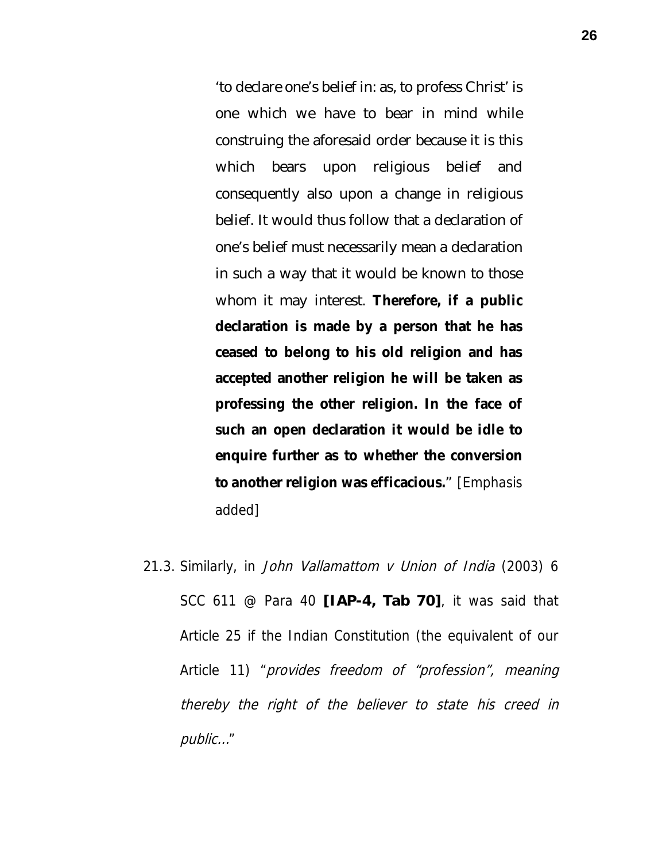'to declare one's belief in: as, to profess Christ' is one which we have to bear in mind while construing the aforesaid order because it is this which bears upon religious belief and consequently also upon a change in religious belief. It would thus follow that a declaration of one's belief must necessarily mean a declaration in such a way that it would be known to those whom it may interest. **Therefore, if a public declaration is made by a person that he has ceased to belong to his old religion and has accepted another religion he will be taken as professing the other religion. In the face of such an open declaration it would be idle to enquire further as to whether the conversion to another religion was efficacious.**" [Emphasis added]

21.3. Similarly, in John Vallamattom v Union of India (2003) 6 SCC 611 @ Para 40 **[IAP-4, Tab 70]**, it was said that Article 25 if the Indian Constitution (the equivalent of our Article 11) "provides freedom of "profession", meaning thereby the right of the believer to state his creed in public…"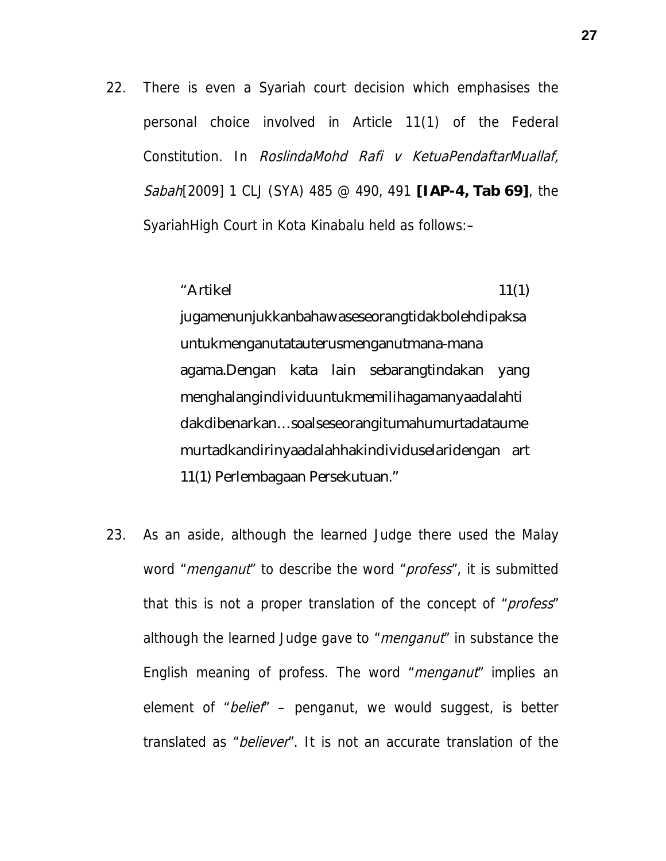- 22. There is even a Syariah court decision which emphasises the personal choice involved in Article 11(1) of the Federal Constitution. In RoslindaMohd Rafi v KetuaPendaftarMuallaf, Sabah[2009] 1 CLJ (SYA) 485 @ 490, 491 **[IAP-4, Tab 69]**, the SyariahHigh Court in Kota Kinabalu held as follows:–
	- $"Artikel$  11(1)

jugamenunjukkanbahawaseseorangtidakbolehdipaksa untukmenganutatauterusmenganutmana-mana agama.Dengan kata lain sebarangtindakan yang menghalangindividuuntukmemilihagamanyaadalahti dakdibenarkan…soalseseorangitumahumurtadataume murtadkandirinyaadalahhakindividuselaridengan art 11(1) Perlembagaan Persekutuan."

23. As an aside, although the learned Judge there used the Malay word "*menganut*" to describe the word "*profess*", it is submitted that this is not a proper translation of the concept of "*profess*" although the learned Judge gave to "*menganut*" in substance the English meaning of profess. The word "*menganut*" implies an element of "belief"  $-$  penganut, we would suggest, is better translated as "believer". It is not an accurate translation of the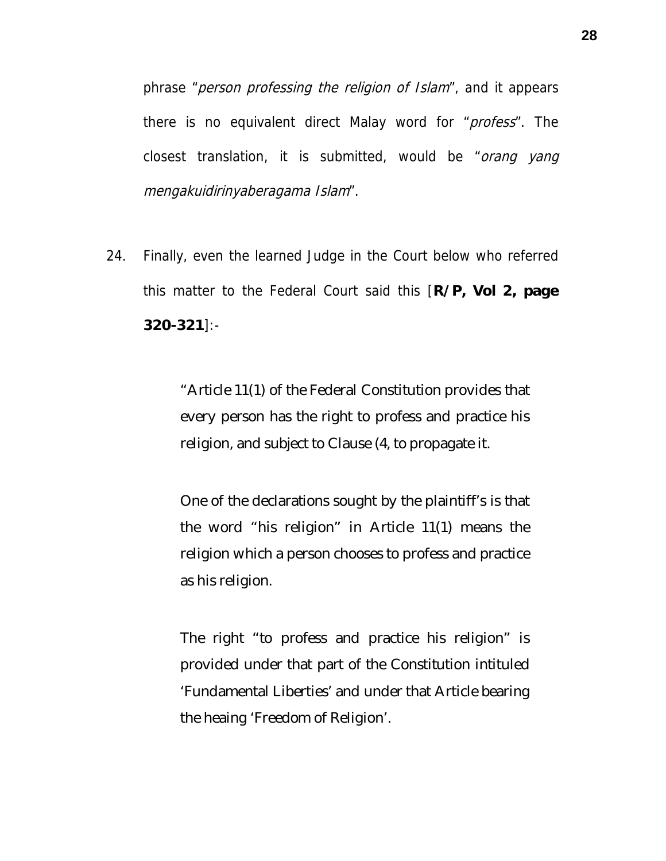phrase "person professing the religion of Islam", and it appears there is no equivalent direct Malay word for "profess". The closest translation, it is submitted, would be "orang yang mengakuidirinyaberagama Islam".

24. Finally, even the learned Judge in the Court below who referred this matter to the Federal Court said this [**R/P, Vol 2, page 320-321**]:-

> "Article 11(1) of the Federal Constitution provides that every person has the right to profess and practice his religion, and subject to Clause (4, to propagate it.

> One of the declarations sought by the plaintiff's is that the word "his religion" in Article 11(1) means the religion which a person chooses to profess and practice as his religion.

> The right "to profess and practice his religion" is provided under that part of the Constitution intituled 'Fundamental Liberties' and under that Article bearing the heaing 'Freedom of Religion'.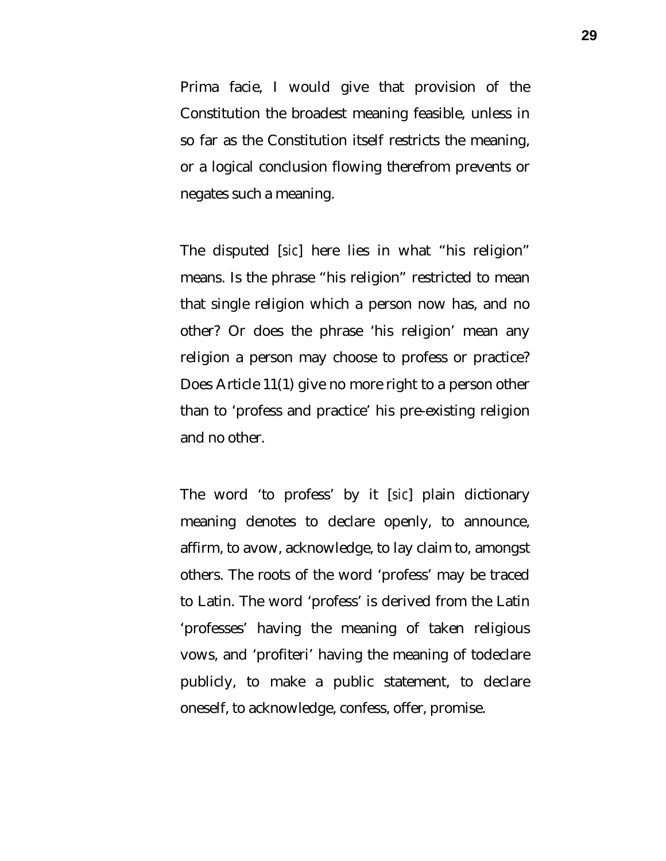Prima facie, I would give that provision of the Constitution the broadest meaning feasible, unless in so far as the Constitution itself restricts the meaning, or a logical conclusion flowing therefrom prevents or negates such a meaning.

The disputed [*sic*] here lies in what "his religion" means. Is the phrase "his religion" restricted to mean that single religion which a person now has, and no other? Or does the phrase 'his religion' mean any religion a person may choose to profess or practice? Does Article 11(1) give no more right to a person other than to 'profess and practice' his pre-existing religion and no other.

The word 'to profess' by it [*sic*] plain dictionary meaning denotes to declare openly, to announce, affirm, to avow, acknowledge, to lay claim to, amongst others. The roots of the word 'profess' may be traced to Latin. The word 'profess' is derived from the Latin 'professes' having the meaning of taken religious vows, and 'profiteri' having the meaning of todeclare publicly, to make a public statement, to declare oneself, to acknowledge, confess, offer, promise.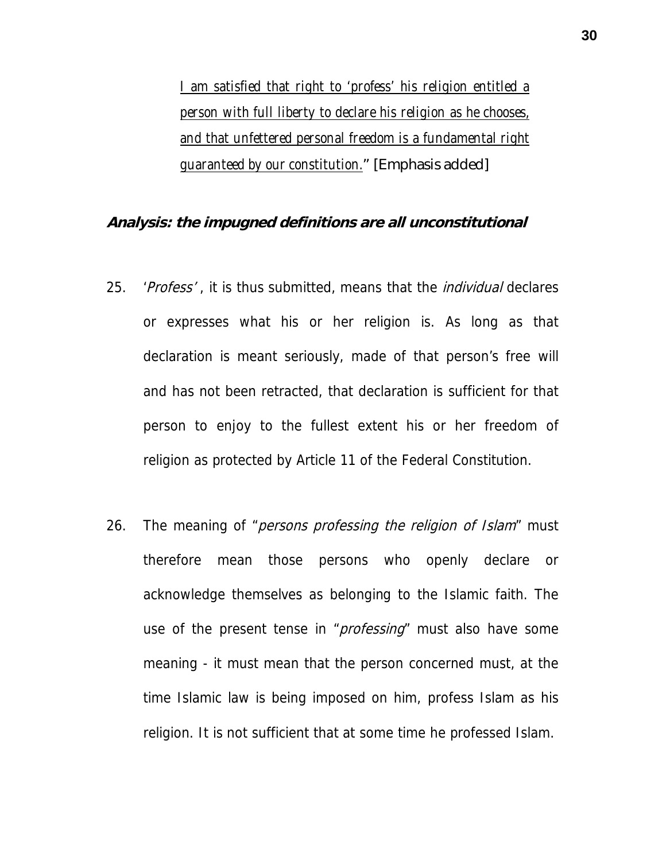*I am satisfied that right to 'profess' his religion entitled a person with full liberty to declare his religion as he chooses, and that unfettered personal freedom is a fundamental right guaranteed by our constitution.*" [Emphasis added]

#### **Analysis: the impugned definitions are all unconstitutional**

- 25. 'Profess', it is thus submitted, means that the *individual* declares or expresses what his or her religion is. As long as that declaration is meant seriously, made of that person's free will and has not been retracted, that declaration is sufficient for that person to enjoy to the fullest extent his or her freedom of religion as protected by Article 11 of the Federal Constitution.
- 26. The meaning of "*persons professing the religion of Islam*" must therefore mean those persons who openly declare or acknowledge themselves as belonging to the Islamic faith. The use of the present tense in "*professing*" must also have some meaning - it must mean that the person concerned must, at the time Islamic law is being imposed on him, profess Islam as his religion. It is not sufficient that at some time he professed Islam.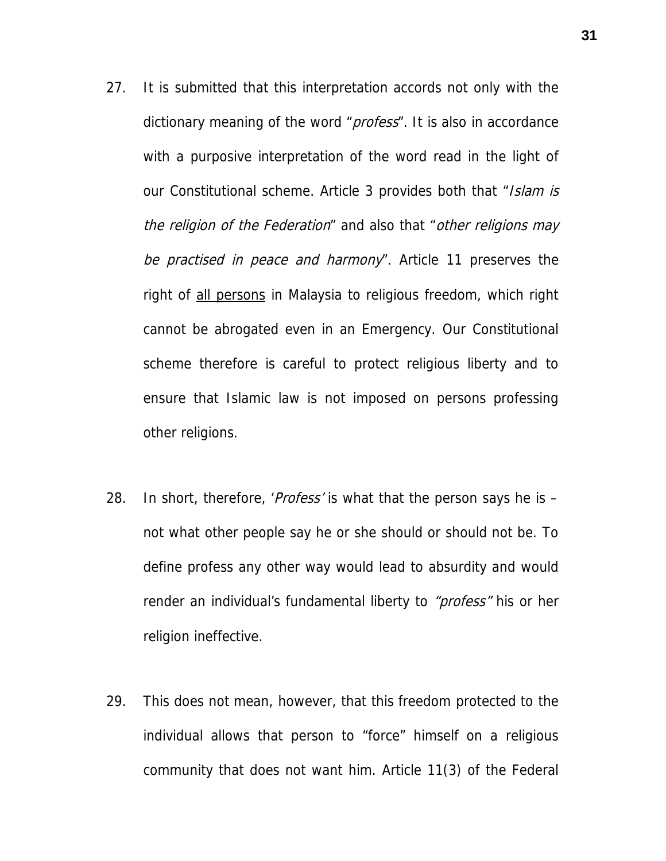- 27. It is submitted that this interpretation accords not only with the dictionary meaning of the word "*profess*". It is also in accordance with a purposive interpretation of the word read in the light of our Constitutional scheme. Article 3 provides both that "Islam is the religion of the Federation" and also that "other religions may be practised in peace and harmony". Article 11 preserves the right of all persons in Malaysia to religious freedom, which right cannot be abrogated even in an Emergency. Our Constitutional scheme therefore is careful to protect religious liberty and to ensure that Islamic law is not imposed on persons professing other religions.
- 28. In short, therefore, '*Profess'* is what that the person says he is not what other people say he or she should or should not be. To define profess any other way would lead to absurdity and would render an individual's fundamental liberty to "profess" his or her religion ineffective.
- 29. This does not mean, however, that this freedom protected to the individual allows that person to "force" himself on a religious community that does not want him. Article 11(3) of the Federal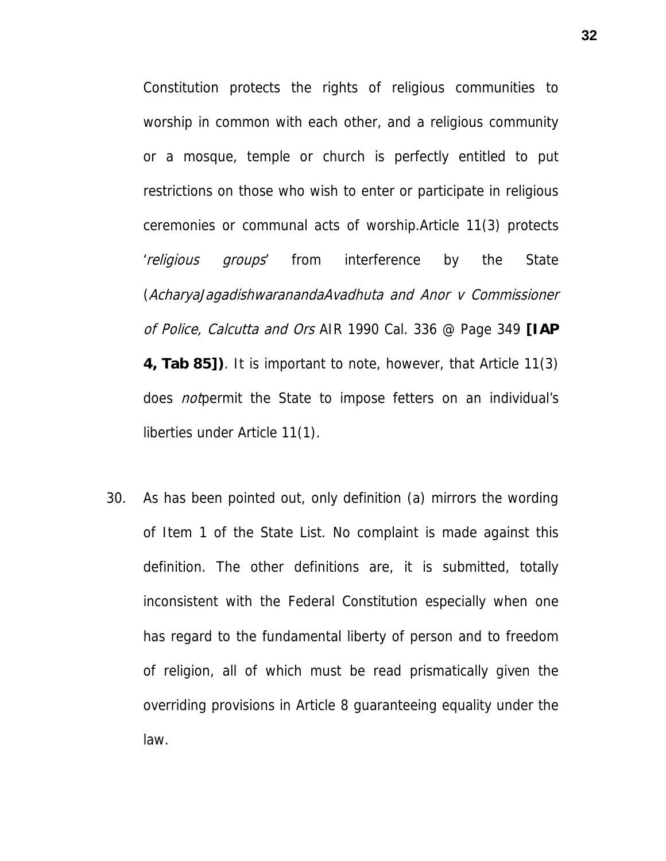Constitution protects the rights of religious communities to worship in common with each other, and a religious community or a mosque, temple or church is perfectly entitled to put restrictions on those who wish to enter or participate in religious ceremonies or communal acts of worship.Article 11(3) protects 'religious groups' from interference by the State (AcharyaJagadishwaranandaAvadhuta and Anor v Commissioner of Police, Calcutta and Ors AIR 1990 Cal. 336 @ Page 349 **[IAP 4, Tab 85])**. It is important to note, however, that Article 11(3) does *not*permit the State to impose fetters on an individual's liberties under Article 11(1).

30. As has been pointed out, only definition (a) mirrors the wording of Item 1 of the State List. No complaint is made against this definition. The other definitions are, it is submitted, totally inconsistent with the Federal Constitution especially when one has regard to the fundamental liberty of person and to freedom of religion, all of which must be read prismatically given the overriding provisions in Article 8 guaranteeing equality under the law.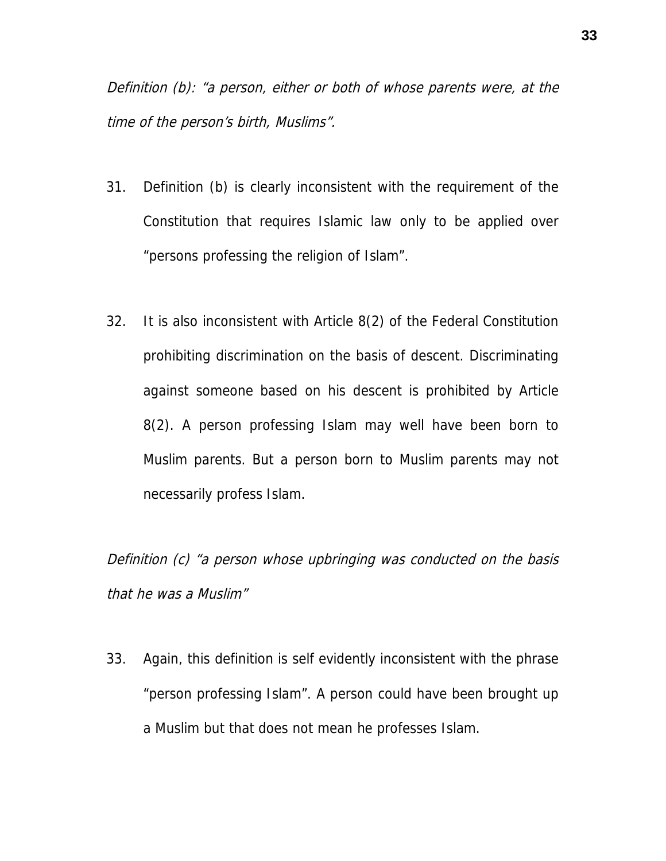Definition (b): "a person, either or both of whose parents were, at the time of the person's birth, Muslims".

- 31. Definition (b) is clearly inconsistent with the requirement of the Constitution that requires Islamic law only to be applied over "persons professing the religion of Islam".
- 32. It is also inconsistent with Article 8(2) of the Federal Constitution prohibiting discrimination on the basis of descent. Discriminating against someone based on his descent is prohibited by Article 8(2). A person professing Islam may well have been born to Muslim parents. But a person born to Muslim parents may not necessarily profess Islam.

Definition (c) "a person whose upbringing was conducted on the basis that he was a Muslim"

33. Again, this definition is self evidently inconsistent with the phrase "person professing Islam". A person could have been brought up a Muslim but that does not mean he professes Islam.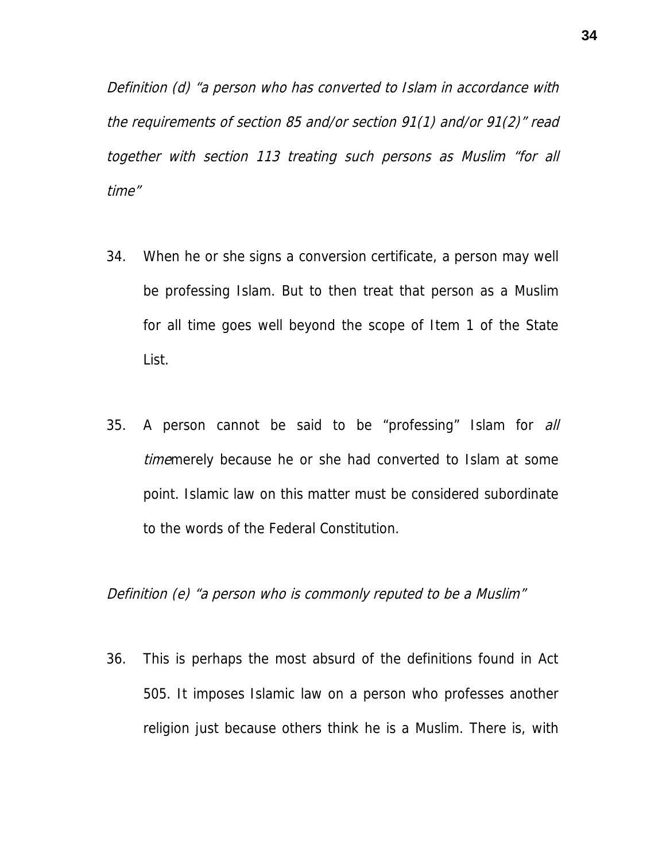Definition (d) "a person who has converted to Islam in accordance with the requirements of section 85 and/or section 91(1) and/or 91(2)" read together with section 113 treating such persons as Muslim "for all time"

- 34. When he or she signs a conversion certificate, a person may well be professing Islam. But to then treat that person as a Muslim for all time goes well beyond the scope of Item 1 of the State List.
- 35. A person cannot be said to be "professing" Islam for all timemerely because he or she had converted to Islam at some point. Islamic law on this matter must be considered subordinate to the words of the Federal Constitution.

Definition (e) "a person who is commonly reputed to be a Muslim"

36. This is perhaps the most absurd of the definitions found in Act 505. It imposes Islamic law on a person who professes another religion just because others think he is a Muslim. There is, with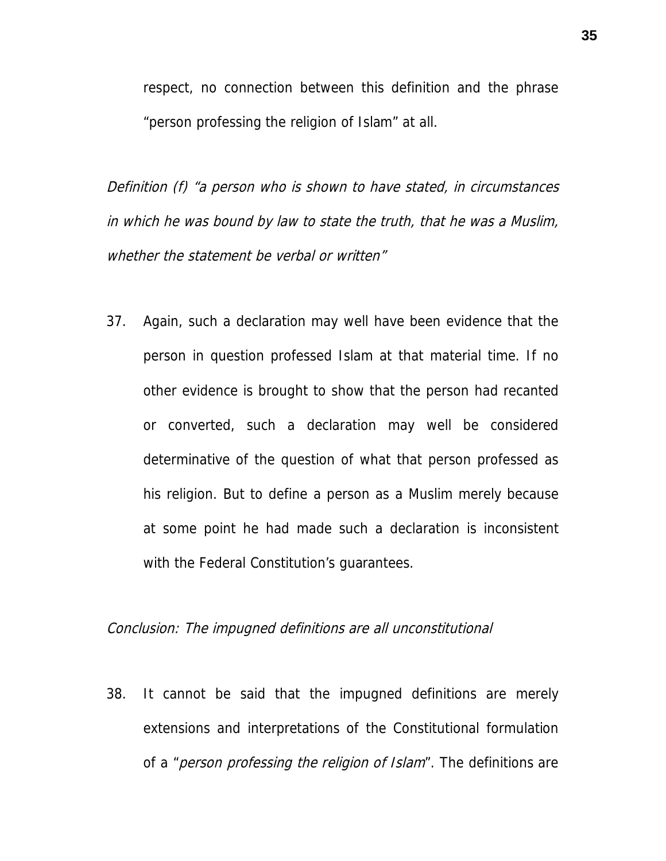respect, no connection between this definition and the phrase "person professing the religion of Islam" at all.

Definition (f) "a person who is shown to have stated, in circumstances in which he was bound by law to state the truth, that he was a Muslim, whether the statement be verbal or written"

37. Again, such a declaration may well have been evidence that the person in question professed Islam at that material time. If no other evidence is brought to show that the person had recanted or converted, such a declaration may well be considered determinative of the question of what that person professed as his religion. But to define a person as a Muslim merely because at some point he had made such a declaration is inconsistent with the Federal Constitution's guarantees.

#### Conclusion: The impugned definitions are all unconstitutional

38. It cannot be said that the impugned definitions are merely extensions and interpretations of the Constitutional formulation of a "*person professing the religion of Islam*". The definitions are

**35**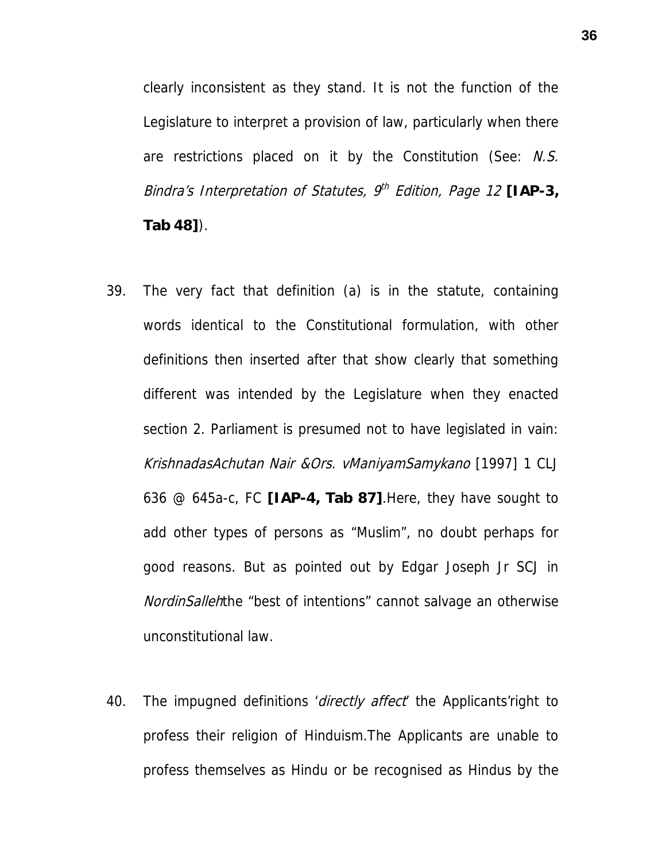clearly inconsistent as they stand. It is not the function of the Legislature to interpret a provision of law, particularly when there are restrictions placed on it by the Constitution (See: N.S. Bindra's Interpretation of Statutes, 9<sup>th</sup> Edition, Page 12 [IAP-3, **Tab 48]**).

- 39. The very fact that definition (a) is in the statute, containing words identical to the Constitutional formulation, with other definitions then inserted after that show clearly that something different was intended by the Legislature when they enacted section 2. Parliament is presumed not to have legislated in vain: KrishnadasAchutan Nair &Ors. vManiyamSamykano [1997] 1 CLJ 636 @ 645a-c, FC **[IAP-4, Tab 87]**.Here, they have sought to add other types of persons as "Muslim", no doubt perhaps for good reasons. But as pointed out by Edgar Joseph Jr SCJ in NordinSallehthe "best of intentions" cannot salvage an otherwise unconstitutional law.
- 40. The impugned definitions *'directly affect* the Applicants' right to profess their religion of Hinduism.The Applicants are unable to profess themselves as Hindu or be recognised as Hindus by the

**36**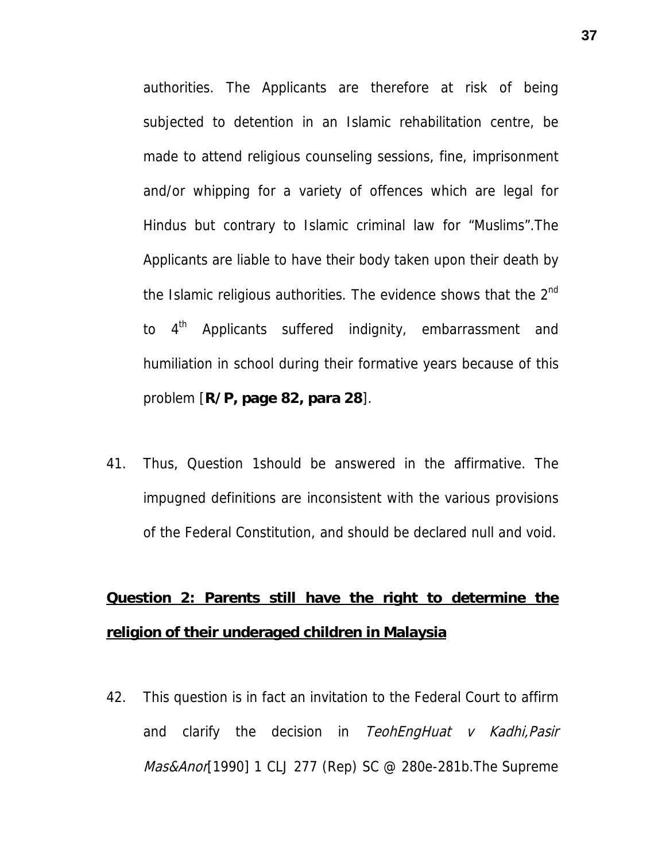authorities. The Applicants are therefore at risk of being subjected to detention in an Islamic rehabilitation centre, be made to attend religious counseling sessions, fine, imprisonment and/or whipping for a variety of offences which are legal for Hindus but contrary to Islamic criminal law for "Muslims".The Applicants are liable to have their body taken upon their death by the Islamic religious authorities. The evidence shows that the  $2<sup>nd</sup>$ to  $4<sup>th</sup>$  Applicants suffered indignity, embarrassment and humiliation in school during their formative years because of this problem [**R/P, page 82, para 28**].

41. Thus, Question 1should be answered in the affirmative. The impugned definitions are inconsistent with the various provisions of the Federal Constitution, and should be declared null and void.

## **Question 2: Parents still have the right to determine the religion of their underaged children in Malaysia**

42. This question is in fact an invitation to the Federal Court to affirm and clarify the decision in TeohEngHuat  $v$  Kadhi, Pasir Mas&Anor[1990] 1 CLJ 277 (Rep) SC @ 280e-281b. The Supreme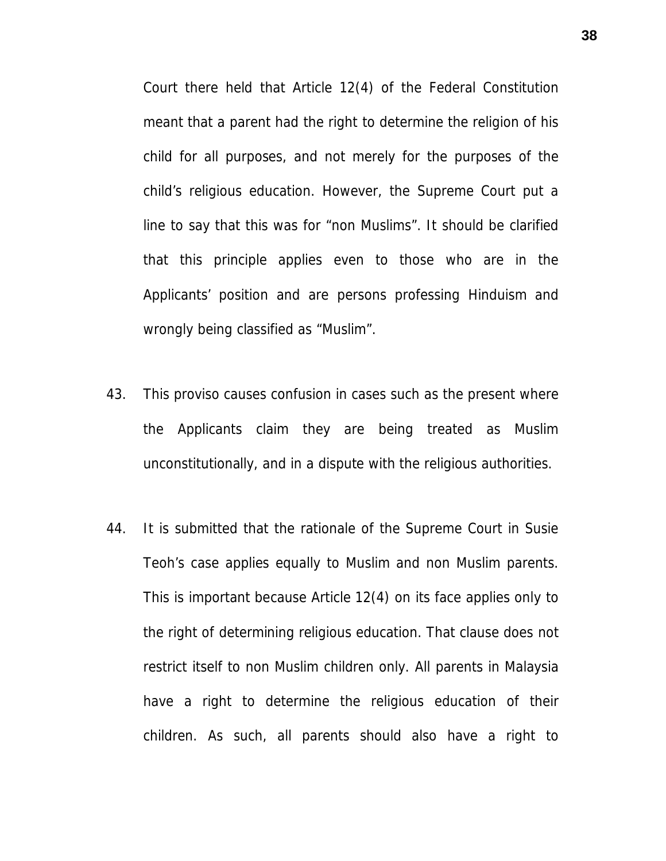Court there held that Article 12(4) of the Federal Constitution meant that a parent had the right to determine the religion of his child for all purposes, and not merely for the purposes of the child's religious education. However, the Supreme Court put a line to say that this was for "non Muslims". It should be clarified that this principle applies even to those who are in the Applicants' position and are persons professing Hinduism and wrongly being classified as "Muslim".

- 43. This proviso causes confusion in cases such as the present where the Applicants claim they are being treated as Muslim unconstitutionally, and in a dispute with the religious authorities.
- 44. It is submitted that the rationale of the Supreme Court in Susie Teoh's case applies equally to Muslim and non Muslim parents. This is important because Article 12(4) on its face applies only to the right of determining religious education. That clause does not restrict itself to non Muslim children only. All parents in Malaysia have a right to determine the religious education of their children. As such, all parents should also have a right to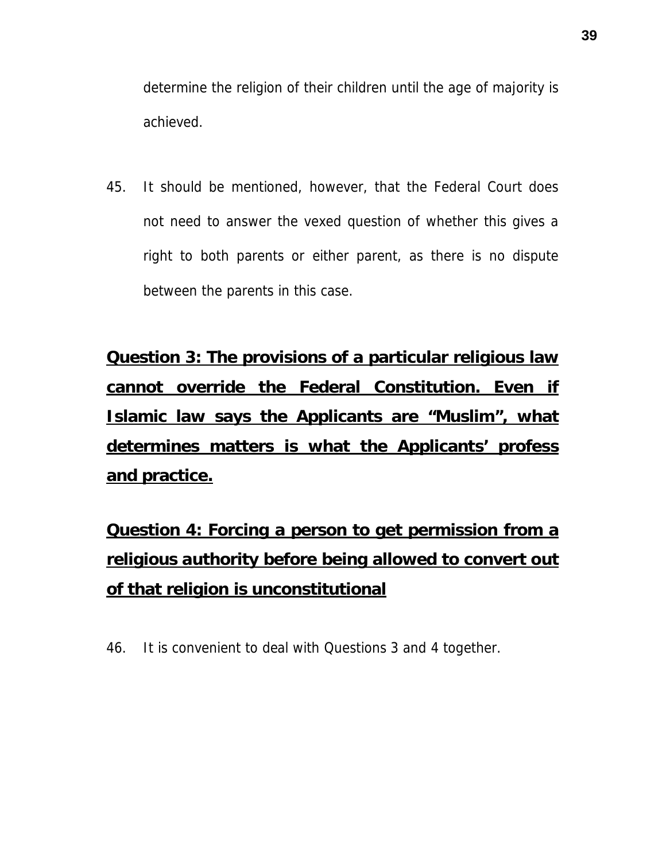determine the religion of their children until the age of majority is achieved.

45. It should be mentioned, however, that the Federal Court does not need to answer the vexed question of whether this gives a right to both parents or either parent, as there is no dispute between the parents in this case.

**Question 3: The provisions of a particular religious law cannot override the Federal Constitution. Even if Islamic law says the Applicants are "Muslim", what determines matters is what the Applicants' profess and practice.**

**Question 4: Forcing a person to get permission from a religious authority before being allowed to convert out of that religion is unconstitutional**

46. It is convenient to deal with Questions 3 and 4 together.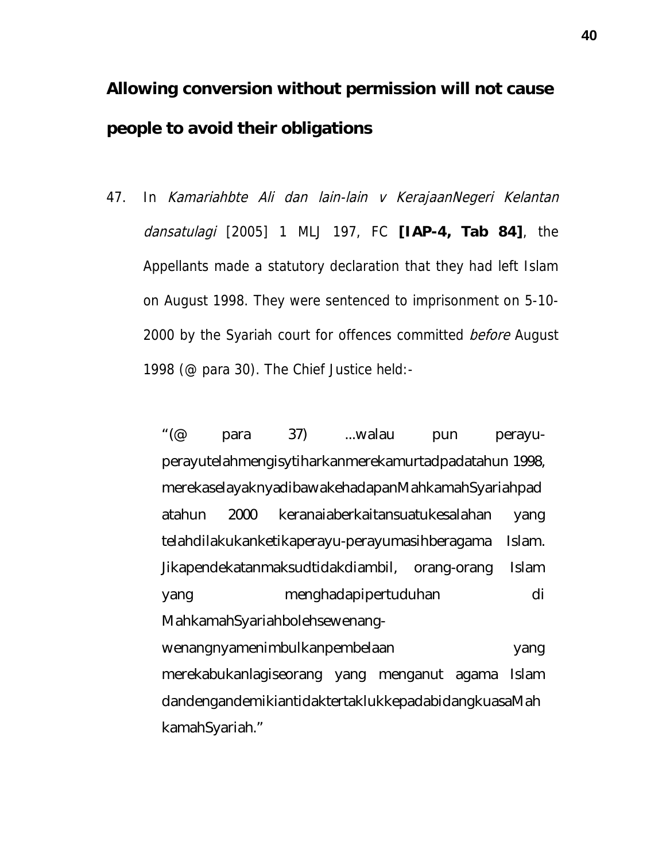**Allowing conversion without permission will not cause people to avoid their obligations**

47. In Kamariahbte Ali dan lain-lain v KerajaanNegeri Kelantan dansatulagi [2005] 1 MLJ 197, FC **[IAP-4, Tab 84]**, the Appellants made a statutory declaration that they had left Islam on August 1998. They were sentenced to imprisonment on 5-10- 2000 by the Syariah court for offences committed *before* August 1998 (@ para 30). The Chief Justice held:-

> "(@ para 37) ...walau pun perayuperayutelahmengisytiharkanmerekamurtadpadatahun 1998, merekaselayaknyadibawakehadapanMahkamahSyariahpad atahun 2000 keranaiaberkaitansuatukesalahan yang telahdilakukanketikaperayu-perayumasihberagama Islam. Jikapendekatanmaksudtidakdiambil, orang-orang Islam yang menghadapipertuduhan di MahkamahSyariahbolehsewenangwenangnyamenimbulkanpembelaan yang merekabukanlagiseorang yang menganut agama Islam dandengandemikiantidaktertaklukkepadabidangkuasaMah kamahSyariah."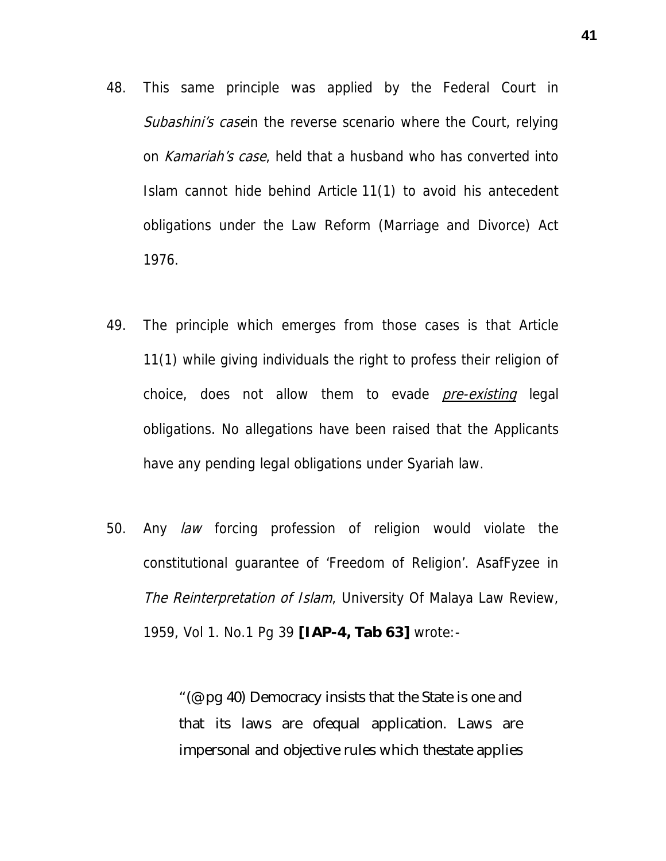- 48. This same principle was applied by the Federal Court in Subashini's case in the reverse scenario where the Court, relying on Kamariah's case, held that a husband who has converted into Islam cannot hide behind Article 11(1) to avoid his antecedent obligations under the Law Reform (Marriage and Divorce) Act 1976.
- 49. The principle which emerges from those cases is that Article 11(1) while giving individuals the right to profess their religion of choice, does not allow them to evade *pre-existing* legal obligations. No allegations have been raised that the Applicants have any pending legal obligations under Syariah law.
- 50. Any law forcing profession of religion would violate the constitutional guarantee of 'Freedom of Religion'. AsafFyzee in The Reinterpretation of Islam, University Of Malaya Law Review, 1959, Vol 1. No.1 Pg 39 **[IAP-4, Tab 63]** wrote:-

"(@ pg 40) Democracy insists that the State is one and that its laws are ofequal application. Laws are impersonal and objective rules which thestate applies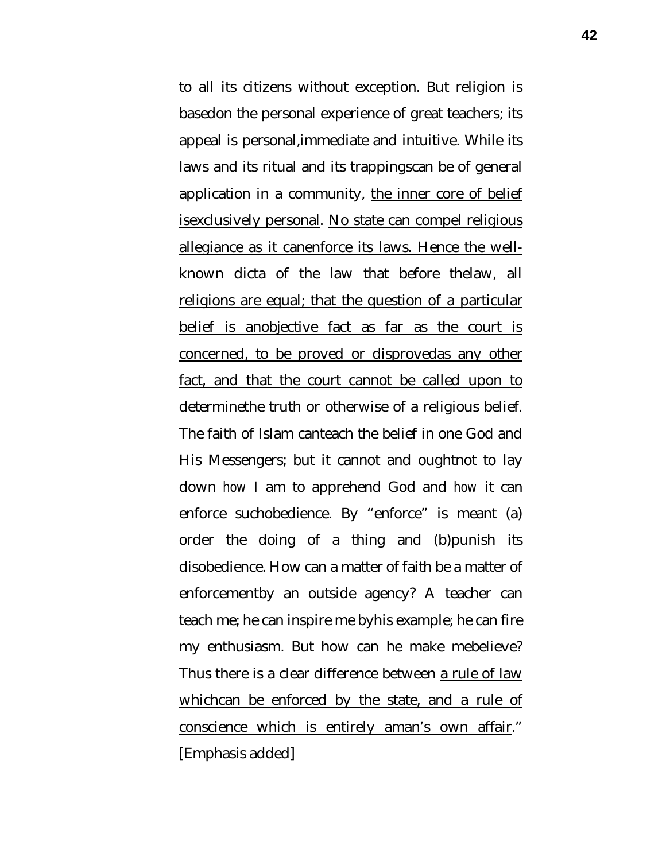to all its citizens without exception. But religion is basedon the personal experience of great teachers; its appeal is personal,immediate and intuitive. While its laws and its ritual and its trappingscan be of general application in a community, the inner core of belief isexclusively personal. No state can compel religious allegiance as it canenforce its laws. Hence the wellknown dicta of the law that before thelaw, all religions are equal; that the question of a particular belief is anobjective fact as far as the court is concerned, to be proved or disprovedas any other fact, and that the court cannot be called upon to determinethe truth or otherwise of a religious belief. The faith of Islam canteach the belief in one God and His Messengers; but it cannot and oughtnot to lay down *how* I am to apprehend God and *how* it can enforce suchobedience. By "enforce" is meant (a) order the doing of a thing and (b)punish its disobedience. How can a matter of faith be a matter of enforcementby an outside agency? A teacher can teach me; he can inspire me byhis example; he can fire my enthusiasm. But how can he make mebelieve? Thus there is a clear difference between a rule of law whichcan be enforced by the state, and a rule of conscience which is entirely aman's own affair." [Emphasis added]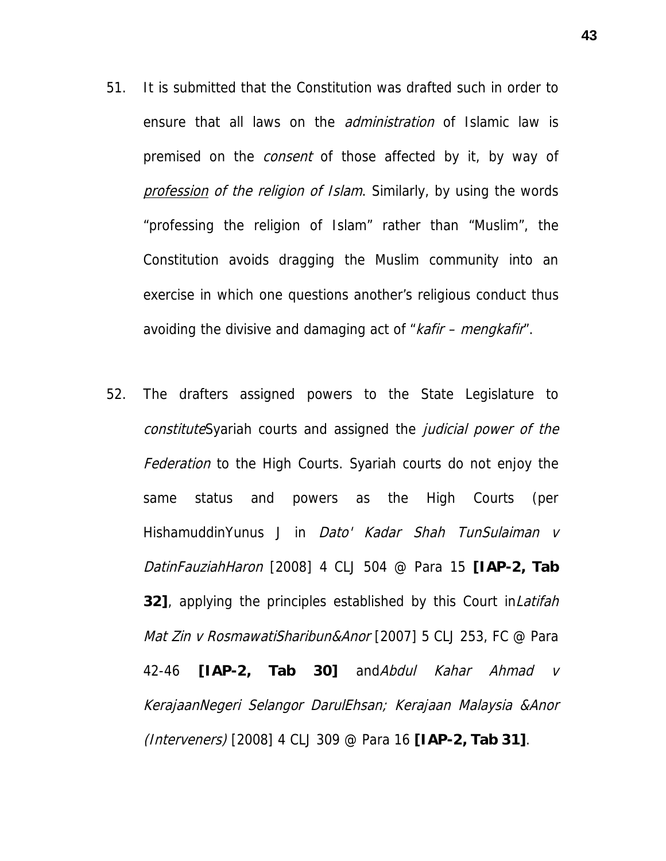- 51. It is submitted that the Constitution was drafted such in order to ensure that all laws on the *administration* of Islamic law is premised on the *consent* of those affected by it, by way of profession of the religion of Islam. Similarly, by using the words "professing the religion of Islam" rather than "Muslim", the Constitution avoids dragging the Muslim community into an exercise in which one questions another's religious conduct thus avoiding the divisive and damaging act of "kafir – mengkafir".
- 52. The drafters assigned powers to the State Legislature to constituteSyariah courts and assigned the judicial power of the Federation to the High Courts. Syariah courts do not enjoy the same status and powers as the High Courts (per HishamuddinYunus J in *Dato' Kadar Shah TunSulaiman v* DatinFauziahHaron [2008] 4 CLJ 504 @ Para 15 **[IAP-2, Tab 32]**, applying the principles established by this Court inLatifah Mat Zin v RosmawatiSharibun&Anor [2007] 5 CLJ 253, FC @ Para 42-46 **[IAP-2, Tab 30]** andAbdul Kahar Ahmad v KerajaanNegeri Selangor DarulEhsan; Kerajaan Malaysia &Anor (Interveners) [2008] 4 CLJ 309 @ Para 16 **[IAP-2, Tab 31]**.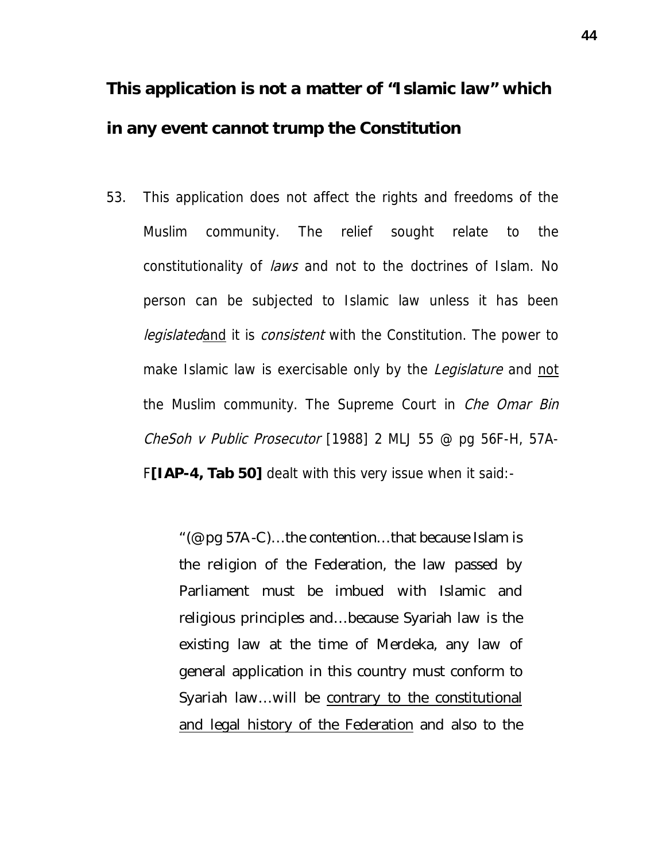**This application is not a matter of "Islamic law" which in any event cannot trump the Constitution**

53. This application does not affect the rights and freedoms of the Muslim community. The relief sought relate to the constitutionality of laws and not to the doctrines of Islam. No person can be subjected to Islamic law unless it has been legislatedand it is consistent with the Constitution. The power to make Islamic law is exercisable only by the *Legislature* and not the Muslim community. The Supreme Court in *Che Omar Bin* CheSoh v Public Prosecutor [1988] 2 MLJ 55 @ pg 56F-H, 57A-F**[IAP-4, Tab 50]** dealt with this very issue when it said:-

> "(@ pg 57A-C)…the contention…that because Islam is the religion of the Federation, the law passed by Parliament must be imbued with Islamic and religious principles and…because Syariah law is the existing law at the time of Merdeka, any law of general application in this country must conform to Syariah law…will be contrary to the constitutional and legal history of the Federation and also to the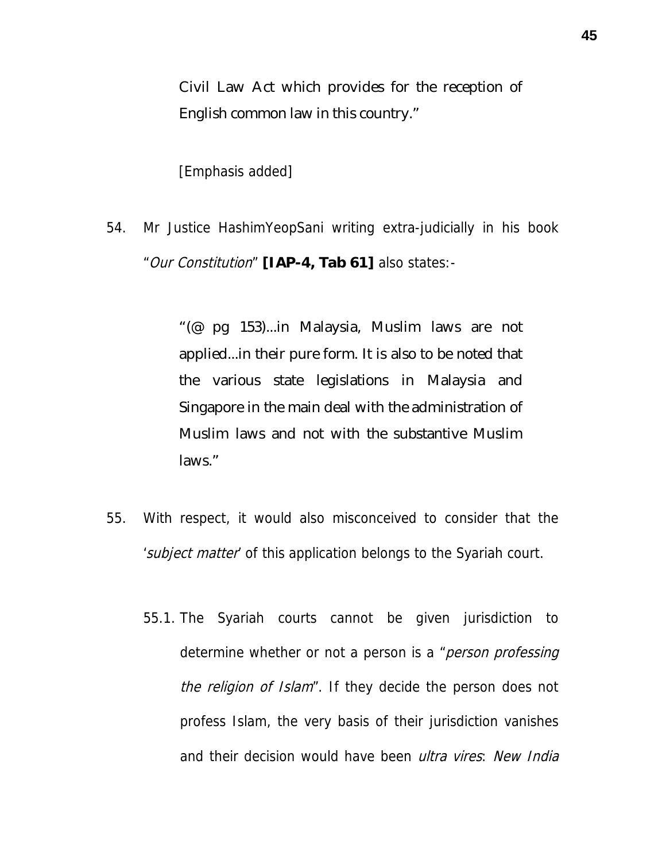Civil Law Act which provides for the reception of English common law in this country."

[Emphasis added]

54. Mr Justice HashimYeopSani writing extra-judicially in his book "Our Constitution" **[IAP-4, Tab 61]** also states:-

> "(@ pg 153)...in Malaysia, Muslim laws are not applied...in their pure form. It is also to be noted that the various state legislations in Malaysia and Singapore in the main deal with the administration of Muslim laws and not with the substantive Muslim laws."

- 55. With respect, it would also misconceived to consider that the 'subject matter' of this application belongs to the Syariah court.
	- 55.1. The Syariah courts cannot be given jurisdiction to determine whether or not a person is a "*person professing* the religion of Islam". If they decide the person does not profess Islam, the very basis of their jurisdiction vanishes and their decision would have been *ultra vires*: New India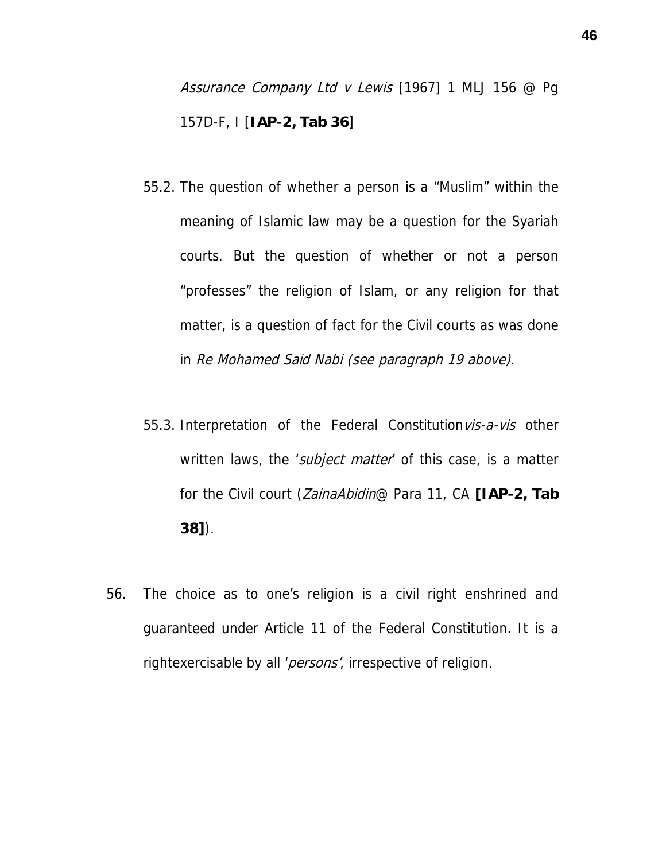Assurance Company Ltd v Lewis [1967] 1 MLJ 156 @ Pq 157D-F, I [**IAP-2, Tab 36**]

- 55.2. The question of whether a person is a "Muslim" within the meaning of Islamic law may be a question for the Syariah courts. But the question of whether or not a person "professes" the religion of Islam, or any religion for that matter, is a question of fact for the Civil courts as was done in Re Mohamed Said Nabi (see paragraph 19 above).
- 55.3. Interpretation of the Federal Constitution vis-a-vis other written laws, the 'subject matter' of this case, is a matter for the Civil court (ZainaAbidin@ Para 11, CA **[IAP-2, Tab 38]**).
- 56. The choice as to one's religion is a civil right enshrined and guaranteed under Article 11 of the Federal Constitution. It is a rightexercisable by all 'persons', irrespective of religion.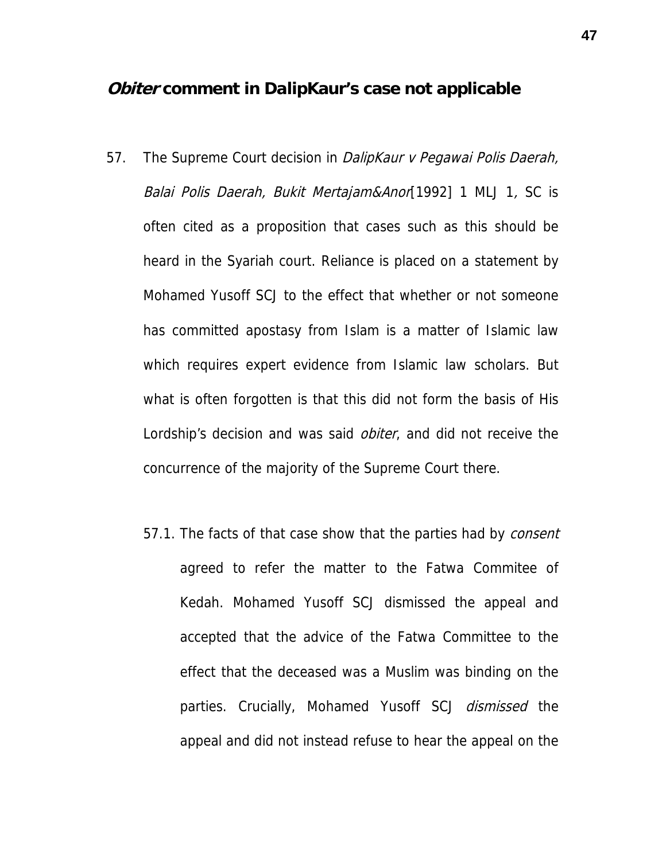### **Obiter comment in DalipKaur's case not applicable**

- 57. The Supreme Court decision in DalipKaur v Pegawai Polis Daerah, Balai Polis Daerah, Bukit Mertajam&Anor[1992] 1 MLJ 1, SC is often cited as a proposition that cases such as this should be heard in the Syariah court. Reliance is placed on a statement by Mohamed Yusoff SCJ to the effect that whether or not someone has committed apostasy from Islam is a matter of Islamic law which requires expert evidence from Islamic law scholars. But what is often forgotten is that this did not form the basis of His Lordship's decision and was said *obiter*, and did not receive the concurrence of the majority of the Supreme Court there.
	- 57.1. The facts of that case show that the parties had by *consent* agreed to refer the matter to the Fatwa Commitee of Kedah. Mohamed Yusoff SCJ dismissed the appeal and accepted that the advice of the Fatwa Committee to the effect that the deceased was a Muslim was binding on the parties. Crucially, Mohamed Yusoff SCJ *dismissed* the appeal and did not instead refuse to hear the appeal on the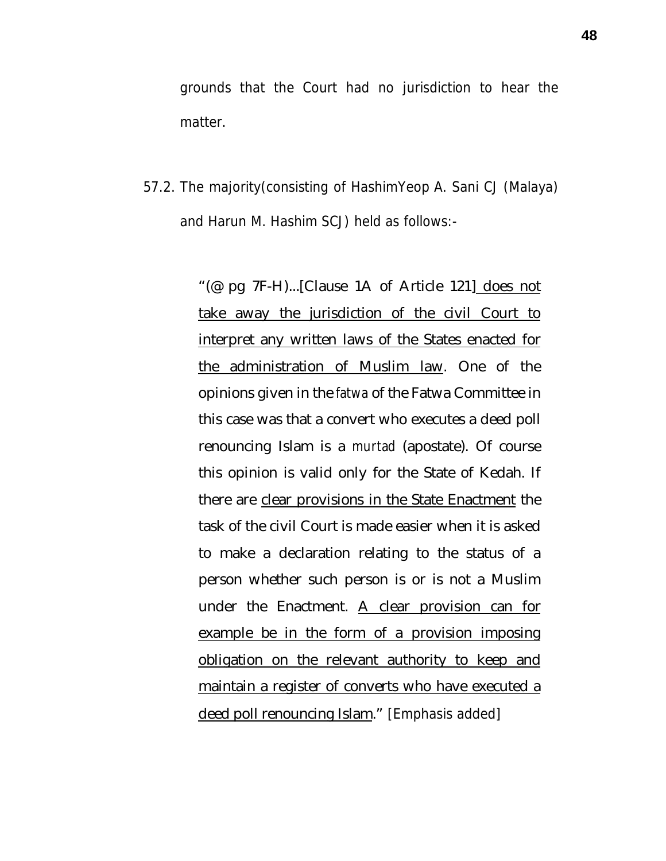grounds that the Court had no jurisdiction to hear the matter.

57.2. The majority(consisting of HashimYeop A. Sani CJ (Malaya) and Harun M. Hashim SCJ) held as follows:-

> "(@ pg 7F-H)...[Clause 1A of Article 121] does not take away the jurisdiction of the civil Court to interpret any written laws of the States enacted for the administration of Muslim law. One of the opinions given in the *fatwa* of the Fatwa Committee in this case was that a convert who executes a deed poll renouncing Islam is a *murtad* (apostate). Of course this opinion is valid only for the State of Kedah. If there are clear provisions in the State Enactment the task of the civil Court is made easier when it is asked to make a declaration relating to the status of a person whether such person is or is not a Muslim under the Enactment. A clear provision can for example be in the form of a provision imposing obligation on the relevant authority to keep and maintain a register of converts who have executed a deed poll renouncing Islam." [Emphasis added]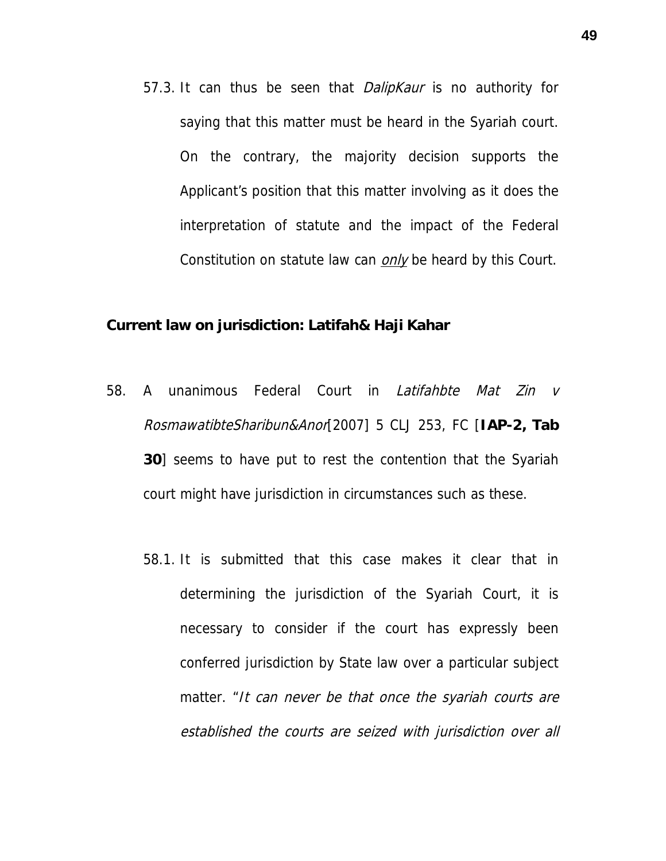57.3. It can thus be seen that *DalipKaur* is no authority for saying that this matter must be heard in the Syariah court. On the contrary, the majority decision supports the Applicant's position that this matter involving as it does the interpretation of statute and the impact of the Federal Constitution on statute law can *only* be heard by this Court.

**Current law on jurisdiction: Latifah& Haji Kahar**

- 58. A unanimous Federal Court in Latifahbte Mat Zin v RosmawatibteSharibun&Anor[2007] 5 CLJ 253, FC [**IAP-2, Tab 30**] seems to have put to rest the contention that the Syariah court might have jurisdiction in circumstances such as these.
	- 58.1. It is submitted that this case makes it clear that in determining the jurisdiction of the Syariah Court, it is necessary to consider if the court has expressly been conferred jurisdiction by State law over a particular subject matter. "It can never be that once the syariah courts are established the courts are seized with jurisdiction over all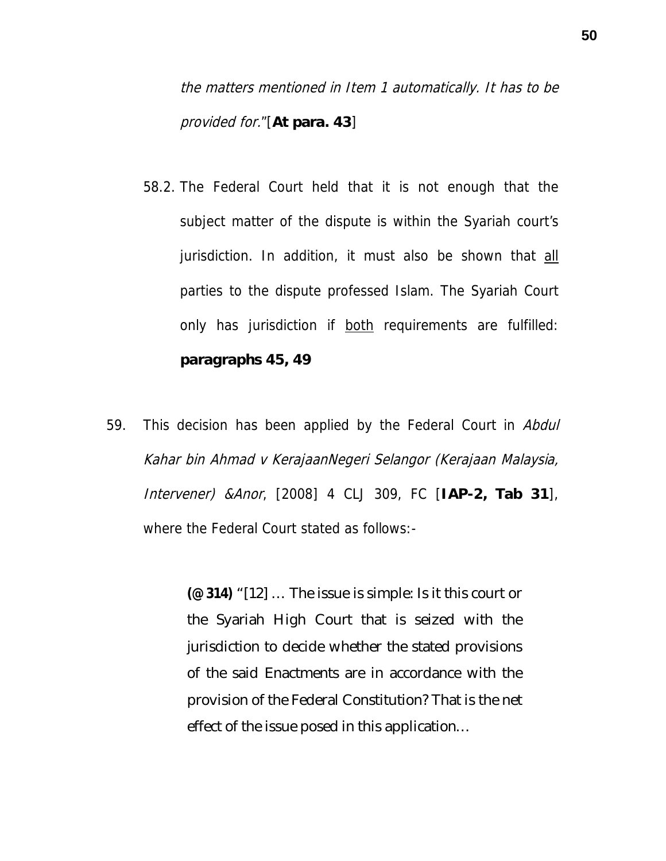the matters mentioned in Item 1 automatically. It has to be provided for."[**At para. 43**]

- 58.2. The Federal Court held that it is not enough that the subject matter of the dispute is within the Syariah court's jurisdiction. In addition, it must also be shown that all parties to the dispute professed Islam. The Syariah Court only has jurisdiction if both requirements are fulfilled: **paragraphs 45, 49**
- 59. This decision has been applied by the Federal Court in Abdul Kahar bin Ahmad v KerajaanNegeri Selangor (Kerajaan Malaysia, Intervener) &Anor, [2008] 4 CLJ 309, FC [**IAP-2, Tab 31**], where the Federal Court stated as follows:-

**(@ 314)** "[12] … The issue is simple: Is it this court or the Syariah High Court that is seized with the jurisdiction to decide whether the stated provisions of the said Enactments are in accordance with the provision of the Federal Constitution? That is the net effect of the issue posed in this application…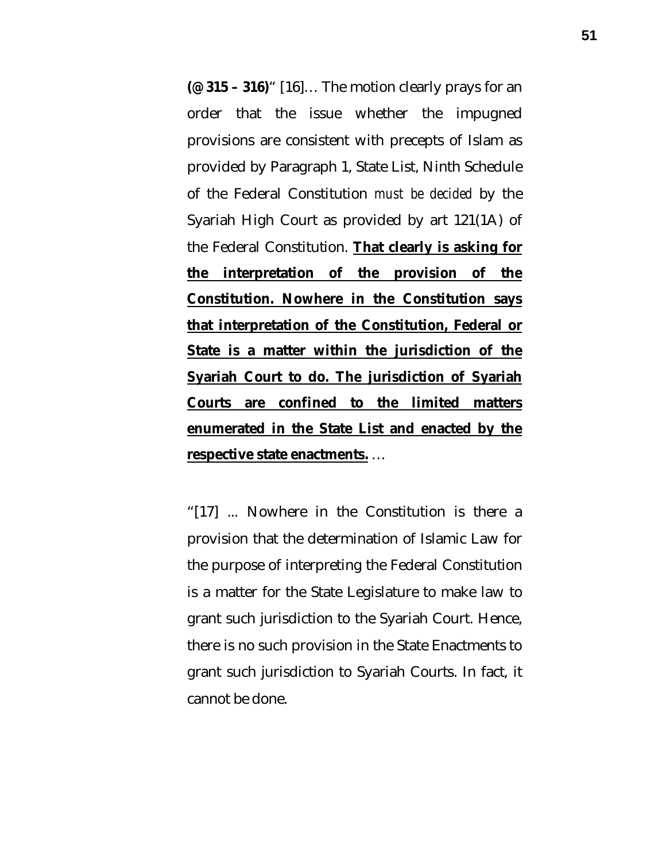**(@ 315 – 316)**" [16]… The motion clearly prays for an order that the issue whether the impugned provisions are consistent with precepts of Islam as provided by Paragraph 1, State List, Ninth Schedule of the Federal Constitution *must be decided* by the Syariah High Court as provided by art 121(1A) of the Federal Constitution. **That clearly is asking for the interpretation of the provision of the Constitution. Nowhere in the Constitution says that interpretation of the Constitution, Federal or State is a matter within the jurisdiction of the Syariah Court to do. The jurisdiction of Syariah Courts are confined to the limited matters enumerated in the State List and enacted by the respective state enactments.** …

"[17] ... Nowhere in the Constitution is there a provision that the determination of Islamic Law for the purpose of interpreting the Federal Constitution is a matter for the State Legislature to make law to grant such jurisdiction to the Syariah Court. Hence, there is no such provision in the State Enactments to grant such jurisdiction to Syariah Courts. In fact, it cannot be done.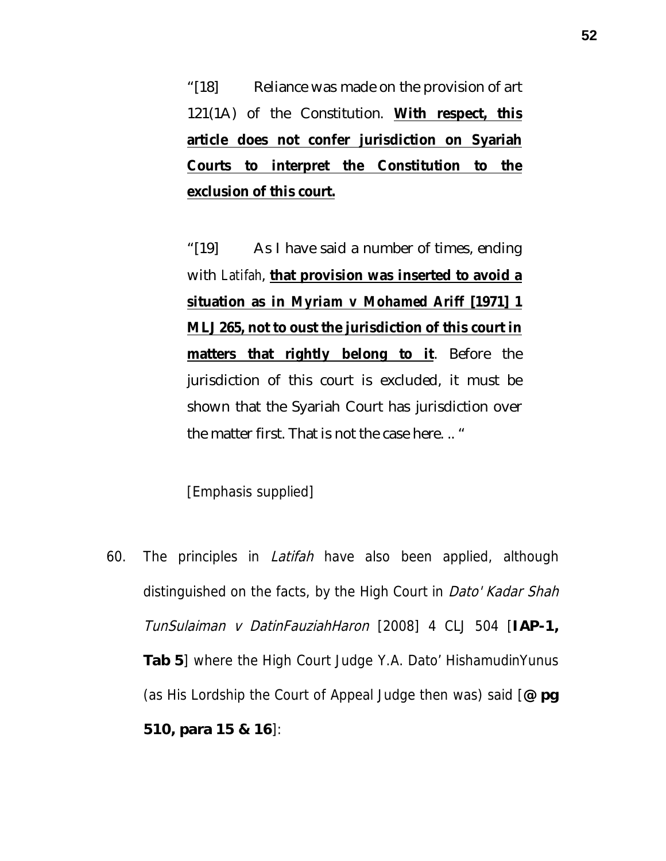"[18] Reliance was made on the provision of art 121(1A) of the Constitution. **With respect, this article does not confer jurisdiction on Syariah Courts to interpret the Constitution to the exclusion of this court.**

"[19] As I have said a number of times, ending with *Latifah*, **that provision was inserted to avoid a situation as in** *Myriam v Mohamed Ariff* **[1971] 1 MLJ 265, not to oust the jurisdiction of this court in matters that rightly belong to it**. Before the jurisdiction of this court is excluded, it must be shown that the Syariah Court has jurisdiction over the matter first. That is not the case here. .. "

[Emphasis supplied]

60. The principles in *Latifah* have also been applied, although distinguished on the facts, by the High Court in *Dato' Kadar Shah* TunSulaiman v DatinFauziahHaron [2008] 4 CLJ 504 [**IAP-1, Tab 5**] where the High Court Judge Y.A. Dato' HishamudinYunus (as His Lordship the Court of Appeal Judge then was) said [**@ pg 510, para 15 & 16**]: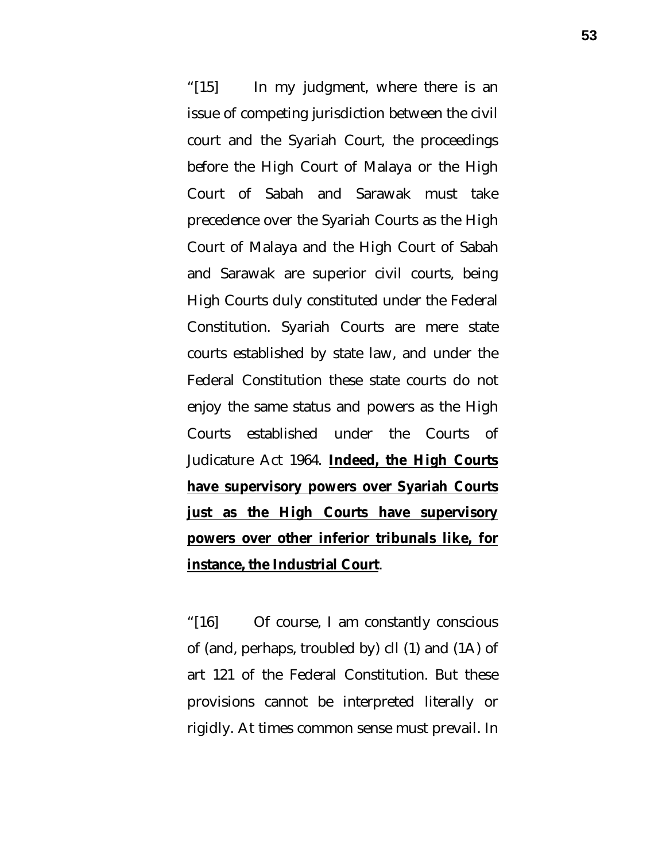"[15] In my judgment, where there is an issue of competing jurisdiction between the civil court and the Syariah Court, the proceedings before the High Court of Malaya or the High Court of Sabah and Sarawak must take precedence over the Syariah Courts as the High Court of Malaya and the High Court of Sabah and Sarawak are superior civil courts, being High Courts duly constituted under the Federal Constitution. Syariah Courts are mere state courts established by state law, and under the Federal Constitution these state courts do not enjoy the same status and powers as the High Courts established under the Courts of Judicature Act 1964. **Indeed, the High Courts have supervisory powers over Syariah Courts just as the High Courts have supervisory powers over other inferior tribunals like, for instance, the Industrial Court**.

"[16] Of course, I am constantly conscious of (and, perhaps, troubled by) cll (1) and (1A) of art 121 of the Federal Constitution. But these provisions cannot be interpreted literally or rigidly. At times common sense must prevail. In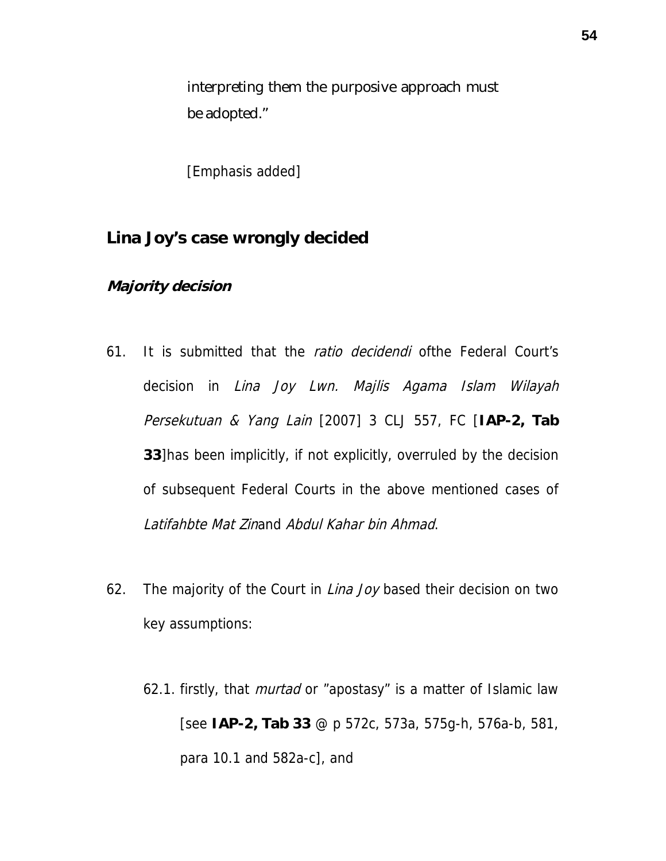interpreting them the purposive approach must be adopted."

[Emphasis added]

**Lina Joy's case wrongly decided**

**Majority decision**

- 61. It is submitted that the *ratio decidendi* ofthe Federal Court's decision in Lina Joy Lwn. Majlis Agama Islam Wilayah Persekutuan & Yang Lain [2007] 3 CLJ 557, FC [**IAP-2, Tab 33**]has been implicitly, if not explicitly, overruled by the decision of subsequent Federal Courts in the above mentioned cases of Latifahbte Mat Zinand Abdul Kahar bin Ahmad.
- 62. The majority of the Court in *Lina Joy* based their decision on two key assumptions:
	- 62.1. firstly, that *murtad* or "apostasy" is a matter of Islamic law [see **IAP-2, Tab 33** @ p 572c, 573a, 575g-h, 576a-b, 581, para 10.1 and 582a-c], and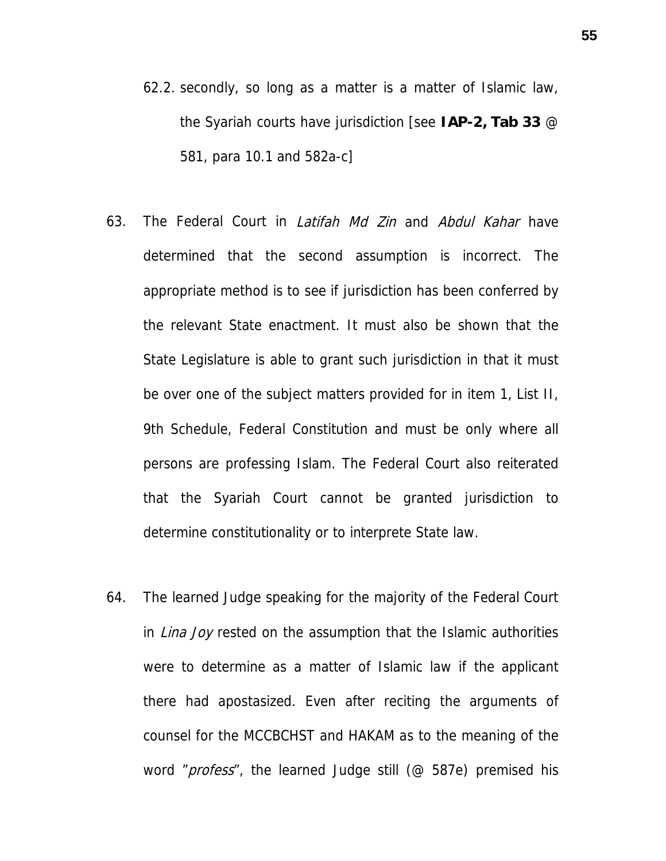- 62.2. secondly, so long as a matter is a matter of Islamic law, the Syariah courts have jurisdiction [see **IAP-2, Tab 33** @ 581, para 10.1 and 582a-c]
- 63. The Federal Court in *Latifah Md Zin* and *Abdul Kahar* have determined that the second assumption is incorrect. The appropriate method is to see if jurisdiction has been conferred by the relevant State enactment. It must also be shown that the State Legislature is able to grant such jurisdiction in that it must be over one of the subject matters provided for in item 1, List II, 9th Schedule, Federal Constitution and must be only where all persons are professing Islam. The Federal Court also reiterated that the Syariah Court cannot be granted jurisdiction to determine constitutionality or to interprete State law.
- 64. The learned Judge speaking for the majority of the Federal Court in *Lina Joy* rested on the assumption that the Islamic authorities were to determine as a matter of Islamic law if the applicant there had apostasized. Even after reciting the arguments of counsel for the MCCBCHST and HAKAM as to the meaning of the word "*profess*", the learned Judge still (@ 587e) premised his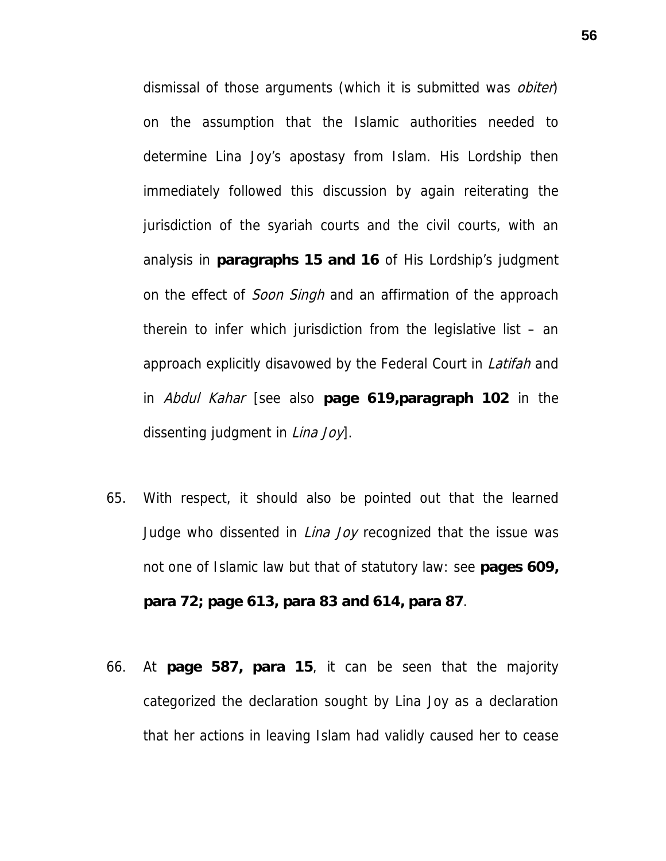dismissal of those arguments (which it is submitted was *obiter*) on the assumption that the Islamic authorities needed to determine Lina Joy's apostasy from Islam. His Lordship then immediately followed this discussion by again reiterating the jurisdiction of the syariah courts and the civil courts, with an analysis in **paragraphs 15 and 16** of His Lordship's judgment on the effect of *Soon Singh* and an affirmation of the approach therein to infer which jurisdiction from the legislative list – an approach explicitly disavowed by the Federal Court in Latifah and in Abdul Kahar [see also **page 619,paragraph 102** in the dissenting judgment in *Lina Joy*].

- 65. With respect, it should also be pointed out that the learned Judge who dissented in *Lina Joy* recognized that the issue was not one of Islamic law but that of statutory law: see **pages 609, para 72; page 613, para 83 and 614, para 87**.
- 66. At **page 587, para 15**, it can be seen that the majority categorized the declaration sought by Lina Joy as a declaration that her actions in leaving Islam had validly caused her to cease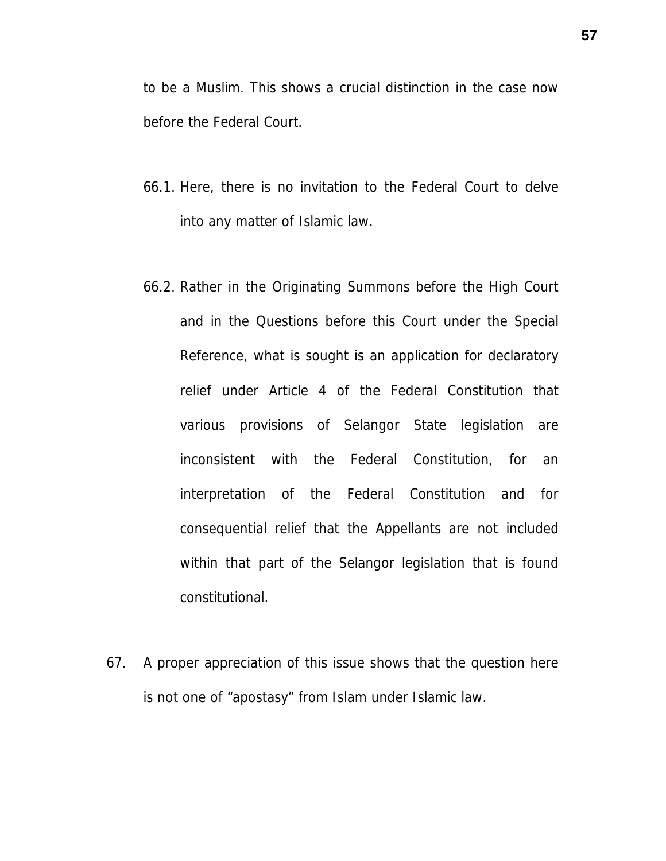to be a Muslim. This shows a crucial distinction in the case now before the Federal Court.

- 66.1. Here, there is no invitation to the Federal Court to delve into any matter of Islamic law.
- 66.2. Rather in the Originating Summons before the High Court and in the Questions before this Court under the Special Reference, what is sought is an application for declaratory relief under Article 4 of the Federal Constitution that various provisions of Selangor State legislation are inconsistent with the Federal Constitution, for an interpretation of the Federal Constitution and for consequential relief that the Appellants are not included within that part of the Selangor legislation that is found constitutional.
- 67. A proper appreciation of this issue shows that the question here is not one of "apostasy" from Islam under Islamic law.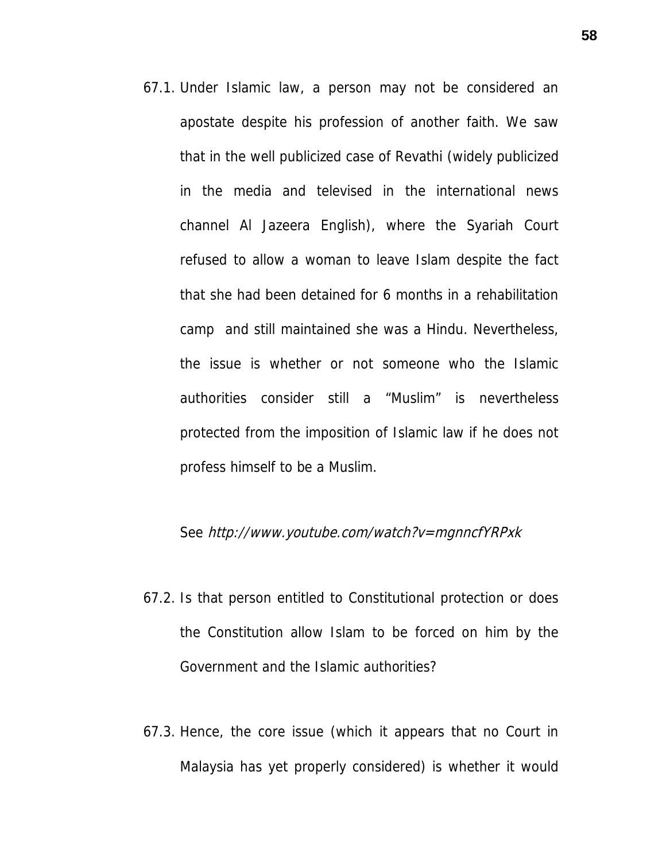67.1. Under Islamic law, a person may not be considered an apostate despite his profession of another faith. We saw that in the well publicized case of Revathi (widely publicized in the media and televised in the international news channel Al Jazeera English), where the Syariah Court refused to allow a woman to leave Islam despite the fact that she had been detained for 6 months in a rehabilitation camp and still maintained she was a Hindu. Nevertheless, the issue is whether or not someone who the Islamic authorities consider still a "Muslim" is nevertheless protected from the imposition of Islamic law if he does not profess himself to be a Muslim.

### See http://www.youtube.com/watch?v=mgnncfYRPxk

- 67.2. Is that person entitled to Constitutional protection or does the Constitution allow Islam to be forced on him by the Government and the Islamic authorities?
- 67.3. Hence, the core issue (which it appears that no Court in Malaysia has yet properly considered) is whether it would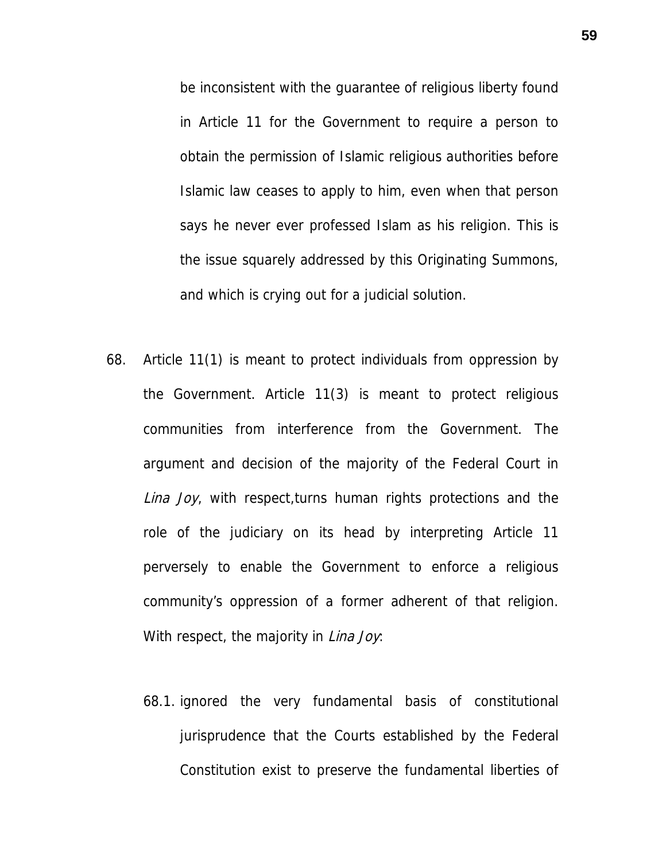be inconsistent with the guarantee of religious liberty found in Article 11 for the Government to require a person to obtain the permission of Islamic religious authorities before Islamic law ceases to apply to him, even when that person says he never ever professed Islam as his religion. This is the issue squarely addressed by this Originating Summons, and which is crying out for a judicial solution.

- 68. Article 11(1) is meant to protect individuals from oppression by the Government. Article 11(3) is meant to protect religious communities from interference from the Government. The argument and decision of the majority of the Federal Court in Lina Joy, with respect, turns human rights protections and the role of the judiciary on its head by interpreting Article 11 perversely to enable the Government to enforce a religious community's oppression of a former adherent of that religion. With respect, the majority in Lina Joy.
	- 68.1. ignored the very fundamental basis of constitutional jurisprudence that the Courts established by the Federal Constitution exist to preserve the fundamental liberties of

**59**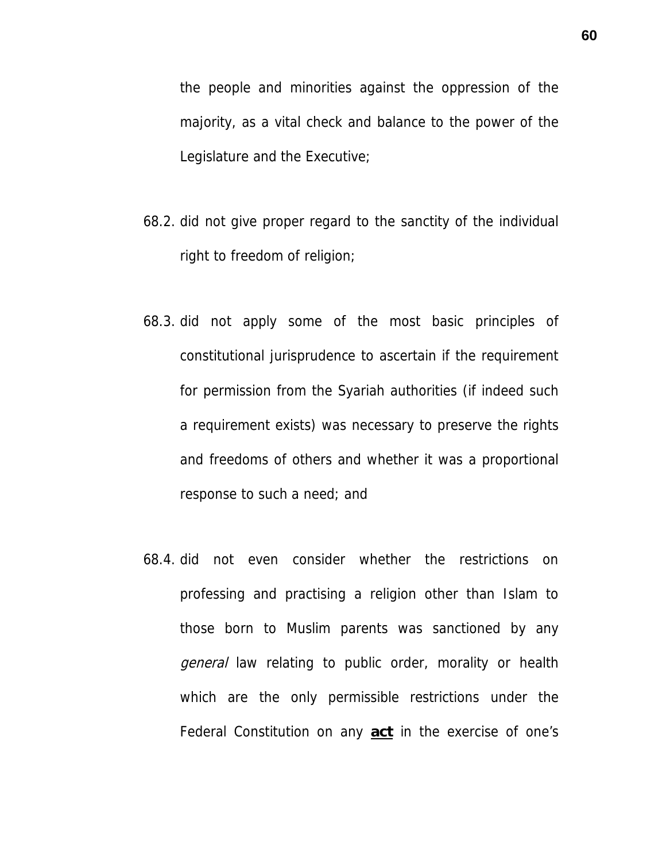the people and minorities against the oppression of the majority, as a vital check and balance to the power of the Legislature and the Executive;

- 68.2. did not give proper regard to the sanctity of the individual right to freedom of religion;
- 68.3. did not apply some of the most basic principles of constitutional jurisprudence to ascertain if the requirement for permission from the Syariah authorities (if indeed such a requirement exists) was necessary to preserve the rights and freedoms of others and whether it was a proportional response to such a need; and
- 68.4. did not even consider whether the restrictions on professing and practising a religion other than Islam to those born to Muslim parents was sanctioned by any general law relating to public order, morality or health which are the only permissible restrictions under the Federal Constitution on any **act** in the exercise of one's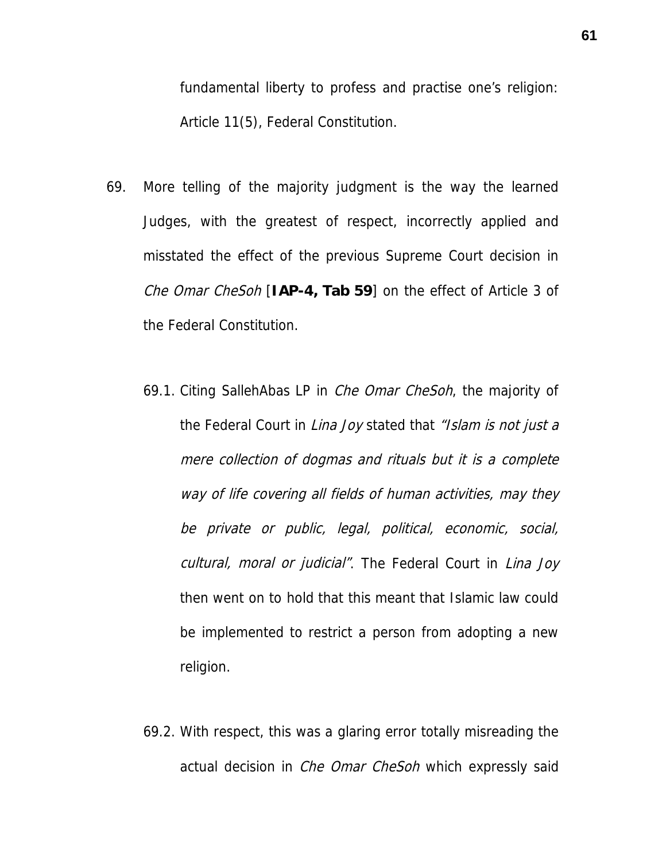fundamental liberty to profess and practise one's religion: Article 11(5), Federal Constitution.

- 69. More telling of the majority judgment is the way the learned Judges, with the greatest of respect, incorrectly applied and misstated the effect of the previous Supreme Court decision in Che Omar CheSoh [**IAP-4, Tab 59**] on the effect of Article 3 of the Federal Constitution.
	- 69.1. Citing SallehAbas LP in *Che Omar CheSoh*, the majority of the Federal Court in Lina Joy stated that "Islam is not just a mere collection of dogmas and rituals but it is a complete way of life covering all fields of human activities, may they be private or public, legal, political, economic, social, cultural, moral or judicial". The Federal Court in Lina Joy then went on to hold that this meant that Islamic law could be implemented to restrict a person from adopting a new religion.
	- 69.2. With respect, this was a glaring error totally misreading the actual decision in *Che Omar CheSoh* which expressly said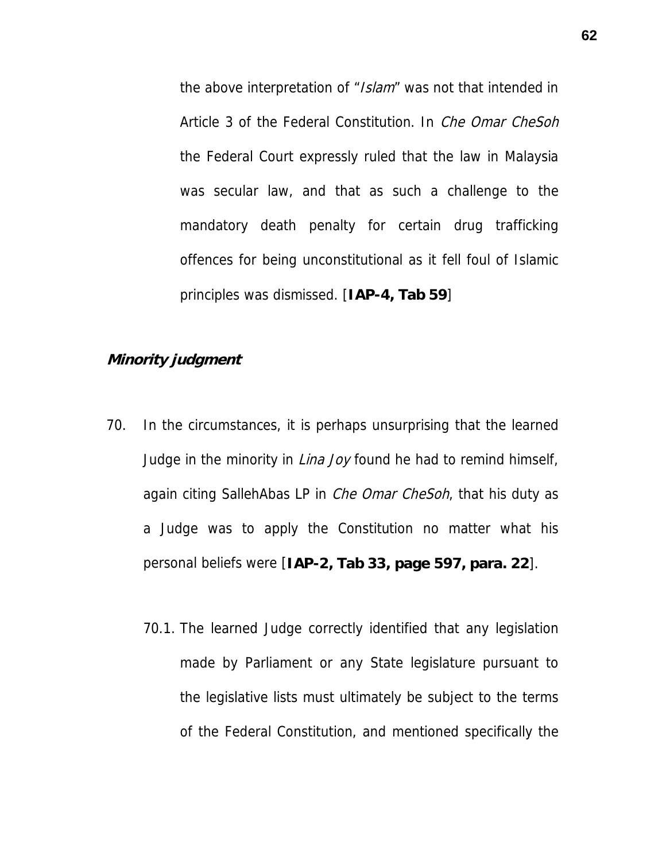the above interpretation of "Islam" was not that intended in Article 3 of the Federal Constitution. In *Che Omar CheSoh* the Federal Court expressly ruled that the law in Malaysia was secular law, and that as such a challenge to the mandatory death penalty for certain drug trafficking offences for being unconstitutional as it fell foul of Islamic principles was dismissed. [**IAP-4, Tab 59**]

## **Minority judgment**

- 70. In the circumstances, it is perhaps unsurprising that the learned Judge in the minority in *Lina Joy* found he had to remind himself, again citing SallehAbas LP in *Che Omar CheSoh*, that his duty as a Judge was to apply the Constitution no matter what his personal beliefs were [**IAP-2, Tab 33, page 597, para. 22**].
	- 70.1. The learned Judge correctly identified that any legislation made by Parliament or any State legislature pursuant to the legislative lists must ultimately be subject to the terms of the Federal Constitution, and mentioned specifically the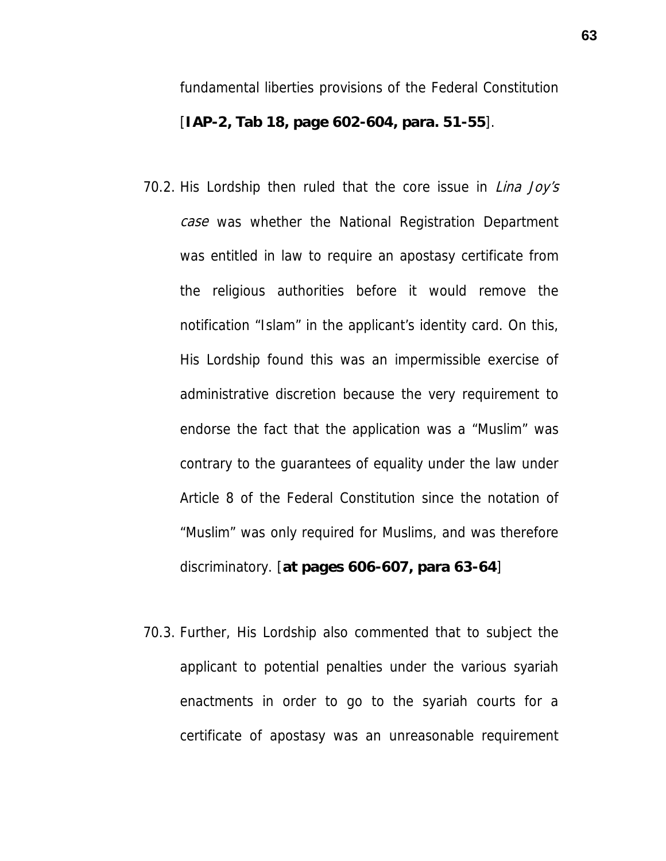fundamental liberties provisions of the Federal Constitution [**IAP-2, Tab 18, page 602-604, para. 51-55**].

- 70.2. His Lordship then ruled that the core issue in *Lina Joy's* case was whether the National Registration Department was entitled in law to require an apostasy certificate from the religious authorities before it would remove the notification "Islam" in the applicant's identity card. On this, His Lordship found this was an impermissible exercise of administrative discretion because the very requirement to endorse the fact that the application was a "Muslim" was contrary to the guarantees of equality under the law under Article 8 of the Federal Constitution since the notation of "Muslim" was only required for Muslims, and was therefore discriminatory. [**at pages 606-607, para 63-64**]
- 70.3. Further, His Lordship also commented that to subject the applicant to potential penalties under the various syariah enactments in order to go to the syariah courts for a certificate of apostasy was an unreasonable requirement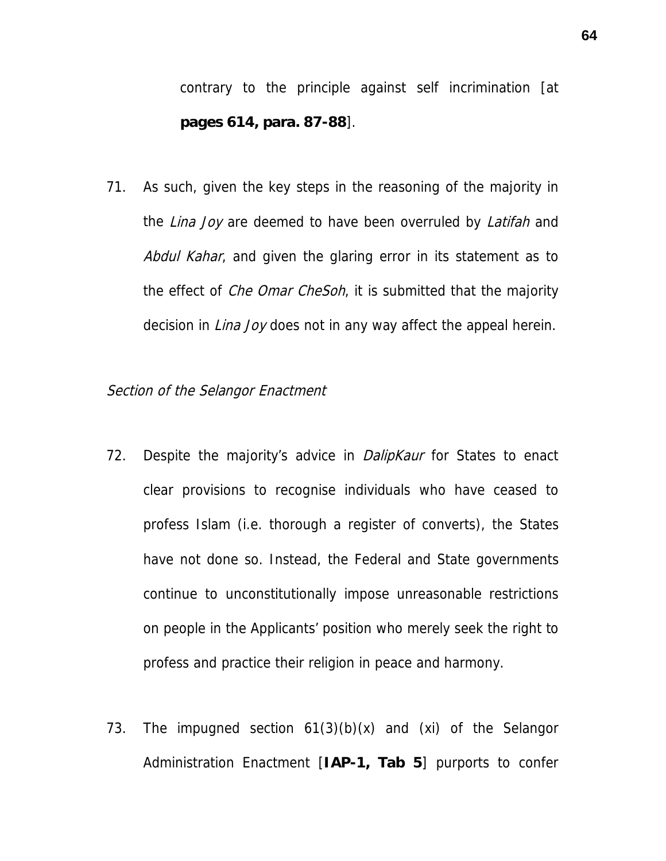contrary to the principle against self incrimination [at **pages 614, para. 87-88**].

71. As such, given the key steps in the reasoning of the majority in the *Lina Joy* are deemed to have been overruled by *Latifah* and Abdul Kahar, and given the glaring error in its statement as to the effect of *Che Omar CheSoh*, it is submitted that the majority decision in *Lina Joy* does not in any way affect the appeal herein.

#### Section of the Selangor Enactment

- 72. Despite the majority's advice in *DalipKaur* for States to enact clear provisions to recognise individuals who have ceased to profess Islam (i.e. thorough a register of converts), the States have not done so. Instead, the Federal and State governments continue to unconstitutionally impose unreasonable restrictions on people in the Applicants' position who merely seek the right to profess and practice their religion in peace and harmony.
- 73. The impugned section 61(3)(b)(x) and (xi) of the Selangor Administration Enactment [**IAP-1, Tab 5**] purports to confer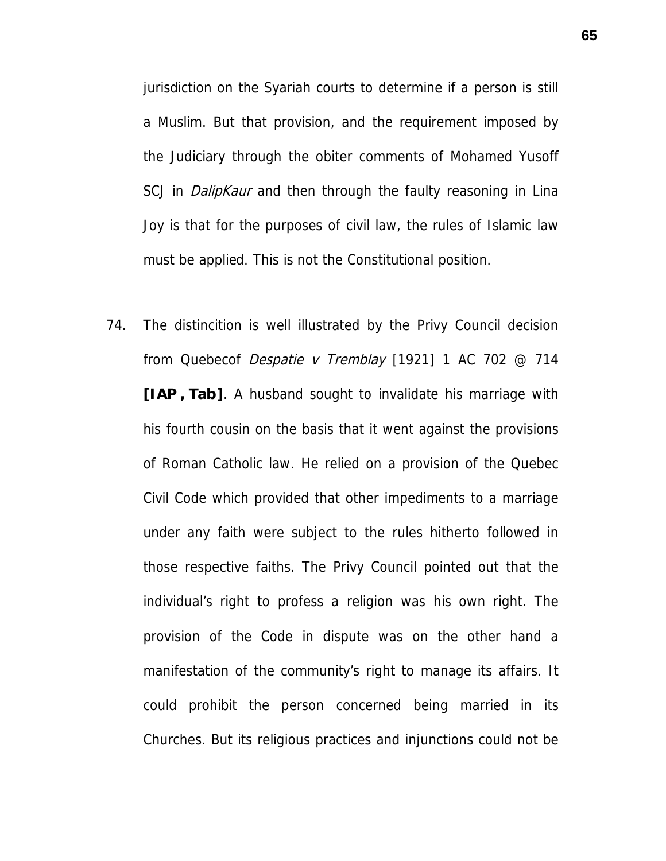jurisdiction on the Syariah courts to determine if a person is still a Muslim. But that provision, and the requirement imposed by the Judiciary through the obiter comments of Mohamed Yusoff SCJ in *DalipKaur* and then through the faulty reasoning in Lina Joy is that for the purposes of civil law, the rules of Islamic law must be applied. This is not the Constitutional position.

74. The distincition is well illustrated by the Privy Council decision from Quebecof Despatie v Tremblay [1921] 1 AC 702 @ 714 **[IAP , Tab]**. A husband sought to invalidate his marriage with his fourth cousin on the basis that it went against the provisions of Roman Catholic law. He relied on a provision of the Quebec Civil Code which provided that other impediments to a marriage under any faith were subject to the rules hitherto followed in those respective faiths. The Privy Council pointed out that the individual's right to profess a religion was his own right. The provision of the Code in dispute was on the other hand a manifestation of the community's right to manage its affairs. It could prohibit the person concerned being married in its Churches. But its religious practices and injunctions could not be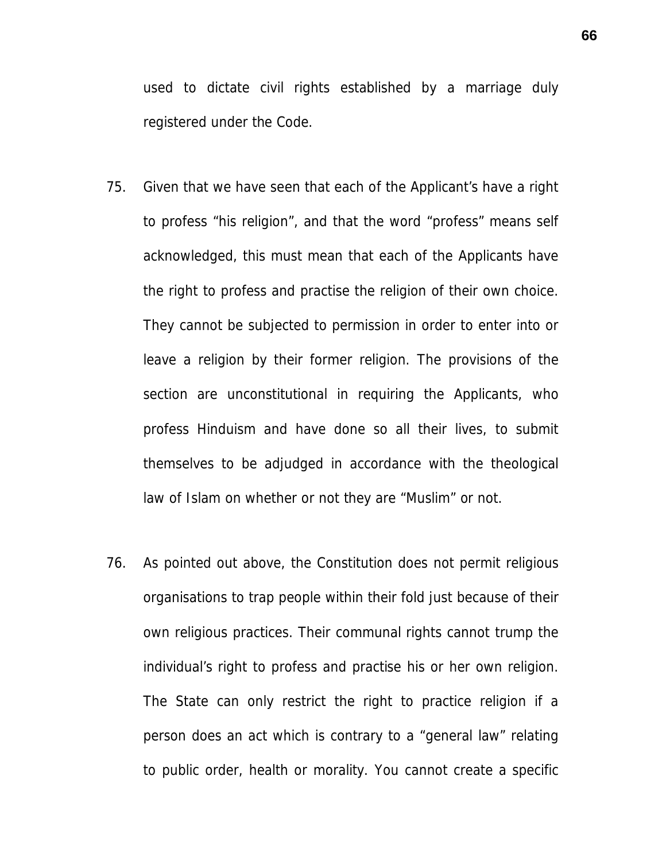used to dictate civil rights established by a marriage duly registered under the Code.

- 75. Given that we have seen that each of the Applicant's have a right to profess "his religion", and that the word "profess" means self acknowledged, this must mean that each of the Applicants have the right to profess and practise the religion of their own choice. They cannot be subjected to permission in order to enter into or leave a religion by their former religion. The provisions of the section are unconstitutional in requiring the Applicants, who profess Hinduism and have done so all their lives, to submit themselves to be adjudged in accordance with the theological law of Islam on whether or not they are "Muslim" or not.
- 76. As pointed out above, the Constitution does not permit religious organisations to trap people within their fold just because of their own religious practices. Their communal rights cannot trump the individual's right to profess and practise his or her own religion. The State can only restrict the right to practice religion if a person does an act which is contrary to a "general law" relating to public order, health or morality. You cannot create a specific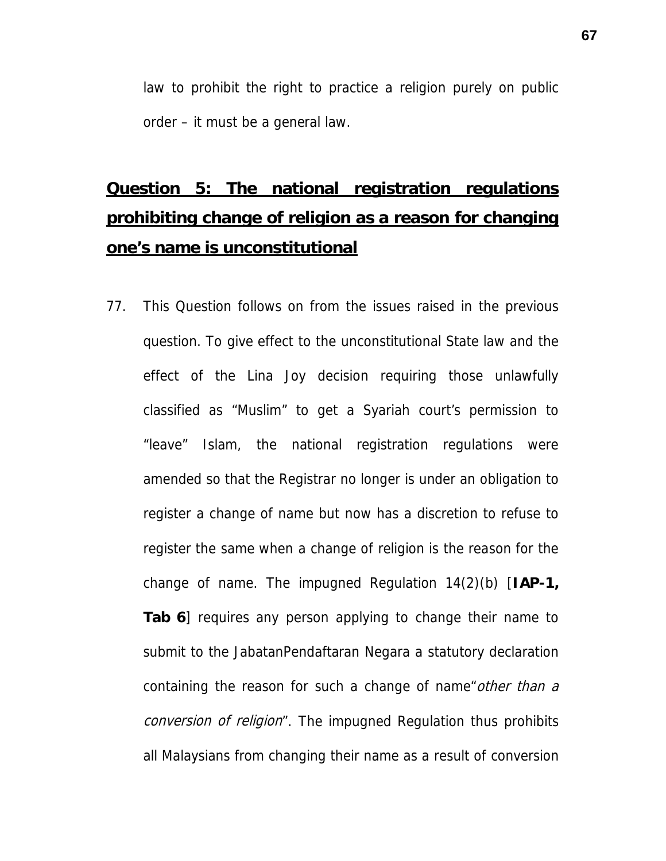law to prohibit the right to practice a religion purely on public order – it must be a general law.

# **Question 5: The national registration regulations prohibiting change of religion as a reason for changing one's name is unconstitutional**

77. This Question follows on from the issues raised in the previous question. To give effect to the unconstitutional State law and the effect of the Lina Joy decision requiring those unlawfully classified as "Muslim" to get a Syariah court's permission to "leave" Islam, the national registration regulations were amended so that the Registrar no longer is under an obligation to register a change of name but now has a discretion to refuse to register the same when a change of religion is the reason for the change of name. The impugned Regulation 14(2)(b) [**IAP-1, Tab 6**] requires any person applying to change their name to submit to the JabatanPendaftaran Negara a statutory declaration containing the reason for such a change of name *other than a* conversion of religion". The impugned Regulation thus prohibits all Malaysians from changing their name as a result of conversion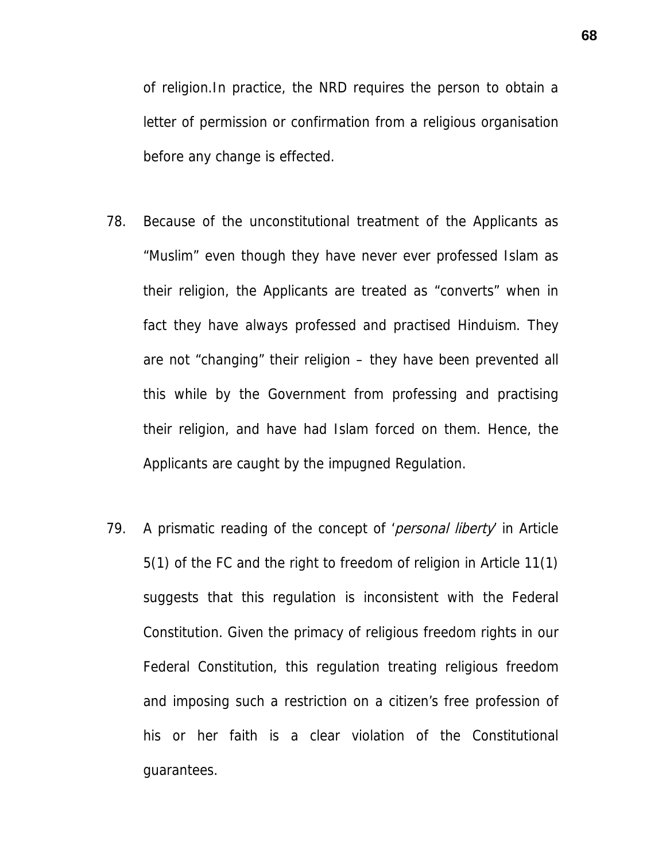of religion.In practice, the NRD requires the person to obtain a letter of permission or confirmation from a religious organisation before any change is effected.

- 78. Because of the unconstitutional treatment of the Applicants as "Muslim" even though they have never ever professed Islam as their religion, the Applicants are treated as "converts" when in fact they have always professed and practised Hinduism. They are not "changing" their religion – they have been prevented all this while by the Government from professing and practising their religion, and have had Islam forced on them. Hence, the Applicants are caught by the impugned Regulation.
- 79. A prismatic reading of the concept of '*personal liberty* in Article 5(1) of the FC and the right to freedom of religion in Article 11(1) suggests that this regulation is inconsistent with the Federal Constitution. Given the primacy of religious freedom rights in our Federal Constitution, this regulation treating religious freedom and imposing such a restriction on a citizen's free profession of his or her faith is a clear violation of the Constitutional guarantees.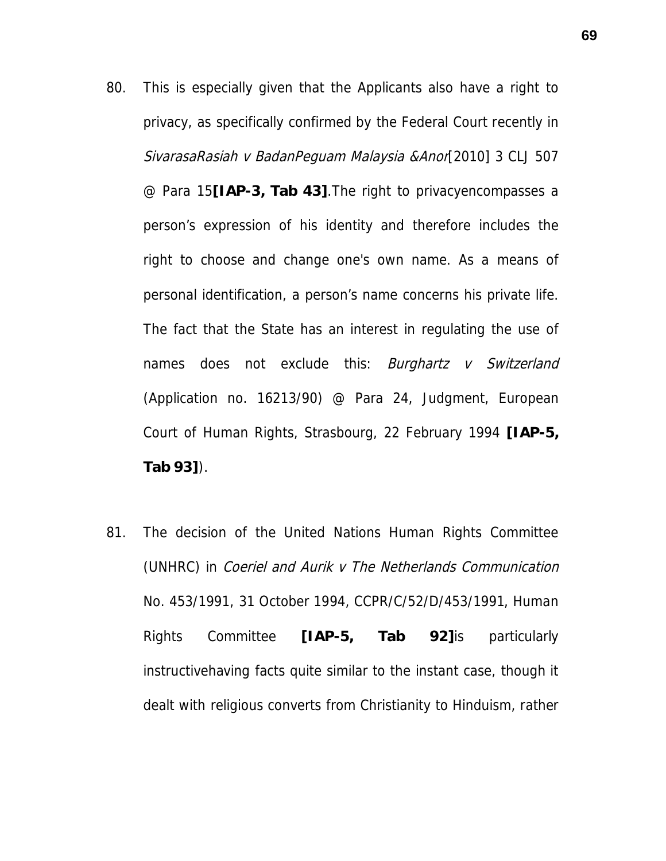- 80. This is especially given that the Applicants also have a right to privacy, as specifically confirmed by the Federal Court recently in SivarasaRasiah v BadanPeguam Malaysia & Anor[2010] 3 CLJ 507 @ Para 15**[IAP-3, Tab 43]**.The right to privacyencompasses a person's expression of his identity and therefore includes the right to choose and change one's own name. As a means of personal identification, a person's name concerns his private life. The fact that the State has an interest in regulating the use of names does not exclude this: *Burghartz v Switzerland* (Application no. 16213/90) @ Para 24, Judgment, European Court of Human Rights, Strasbourg, 22 February 1994 **[IAP-5, Tab 93]**).
- 81. The decision of the United Nations Human Rights Committee (UNHRC) in Coeriel and Aurik v The Netherlands Communication No. 453/1991, 31 October 1994, CCPR/C/52/D/453/1991, Human Rights Committee **[IAP-5, Tab 92]**is particularly instructivehaving facts quite similar to the instant case, though it dealt with religious converts from Christianity to Hinduism, rather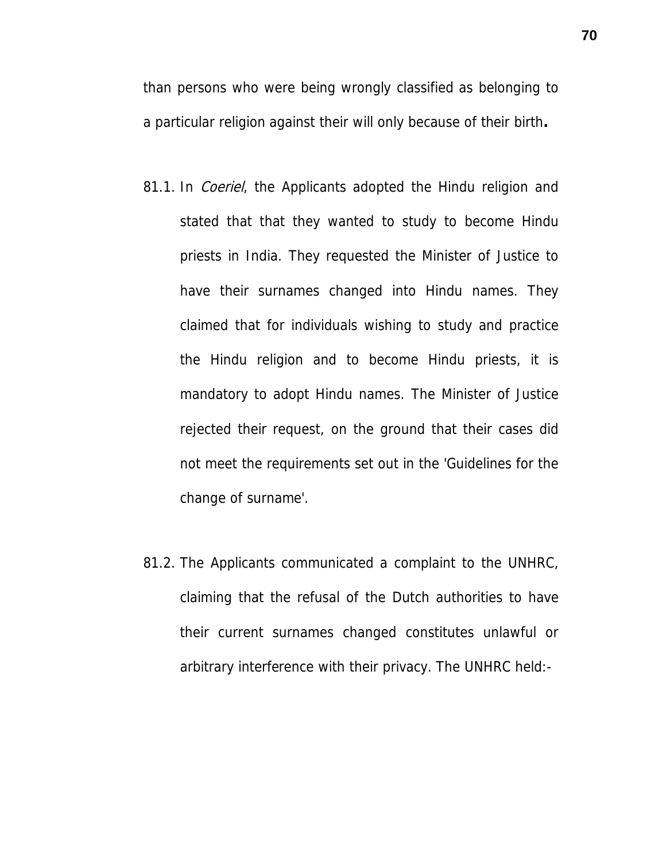than persons who were being wrongly classified as belonging to a particular religion against their will only because of their birth**.**

- 81.1. In *Coeriel*, the Applicants adopted the Hindu religion and stated that that they wanted to study to become Hindu priests in India. They requested the Minister of Justice to have their surnames changed into Hindu names. They claimed that for individuals wishing to study and practice the Hindu religion and to become Hindu priests, it is mandatory to adopt Hindu names. The Minister of Justice rejected their request, on the ground that their cases did not meet the requirements set out in the 'Guidelines for the change of surname'.
- 81.2. The Applicants communicated a complaint to the UNHRC, claiming that the refusal of the Dutch authorities to have their current surnames changed constitutes unlawful or arbitrary interference with their privacy. The UNHRC held:-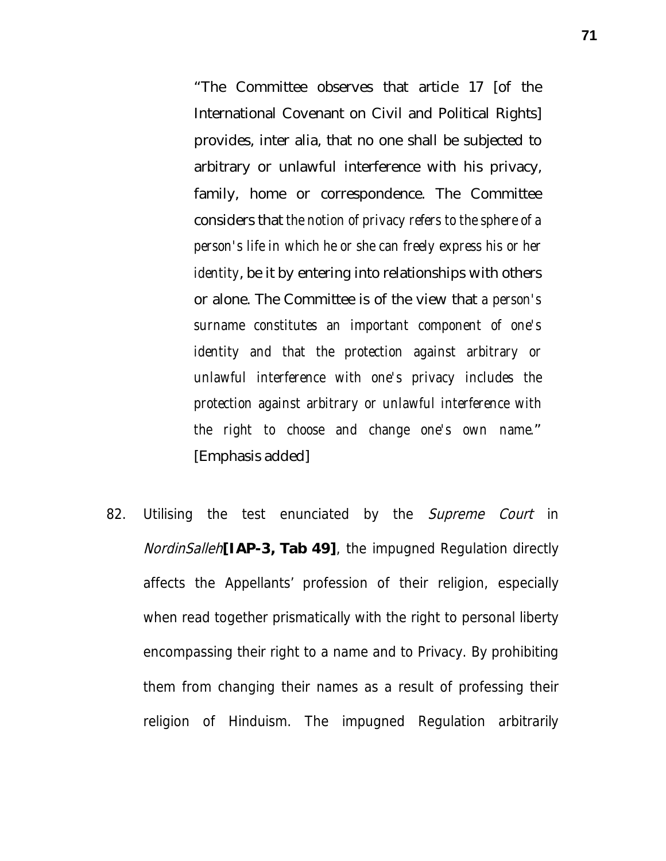"The Committee observes that article 17 [of the International Covenant on Civil and Political Rights] provides, inter alia, that no one shall be subjected to arbitrary or unlawful interference with his privacy, family, home or correspondence. The Committee considers that *the notion of privacy refers to the sphere of a person's life in which he or she can freely express his or her identity*, be it by entering into relationships with others or alone. The Committee is of the view that *a person's surname constitutes an important component of one's identity and that the protection against arbitrary or unlawful interference with one's privacy includes the protection against arbitrary or unlawful interference with the right to choose and change one's own name.*" [Emphasis added]

82. Utilising the test enunciated by the Supreme Court in NordinSalleh**[IAP-3, Tab 49]**, the impugned Regulation directly affects the Appellants' profession of their religion, especially when read together prismatically with the right to personal liberty encompassing their right to a name and to Privacy. By prohibiting them from changing their names as a result of professing their religion of Hinduism. The impugned Regulation arbitrarily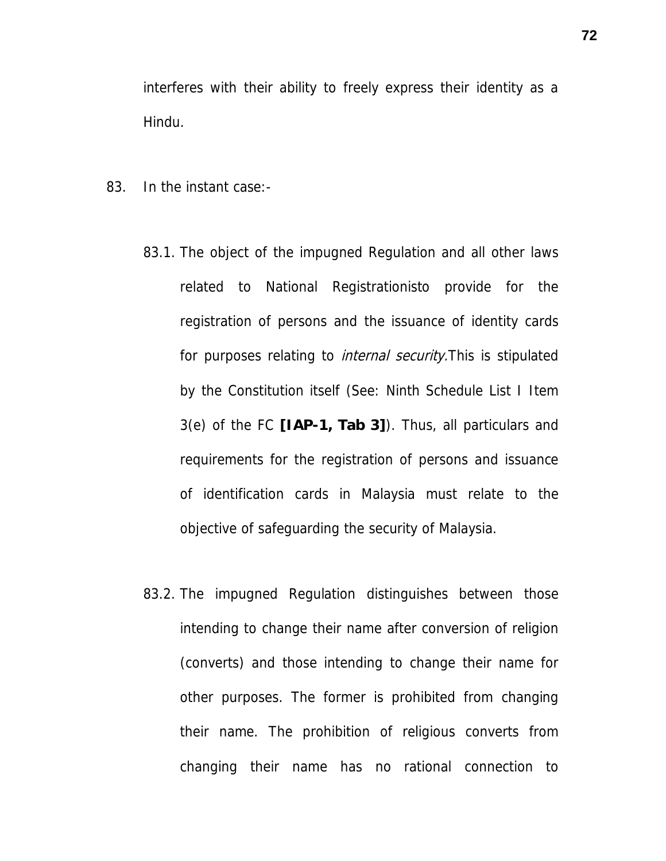interferes with their ability to freely express their identity as a Hindu.

- 83. In the instant case:-
	- 83.1. The object of the impugned Regulation and all other laws related to National Registrationisto provide for the registration of persons and the issuance of identity cards for purposes relating to *internal security*. This is stipulated by the Constitution itself (See: Ninth Schedule List I Item 3(e) of the FC **[IAP-1, Tab 3]**). Thus, all particulars and requirements for the registration of persons and issuance of identification cards in Malaysia must relate to the objective of safeguarding the security of Malaysia.
	- 83.2. The impugned Regulation distinguishes between those intending to change their name after conversion of religion (converts) and those intending to change their name for other purposes. The former is prohibited from changing their name. The prohibition of religious converts from changing their name has no rational connection to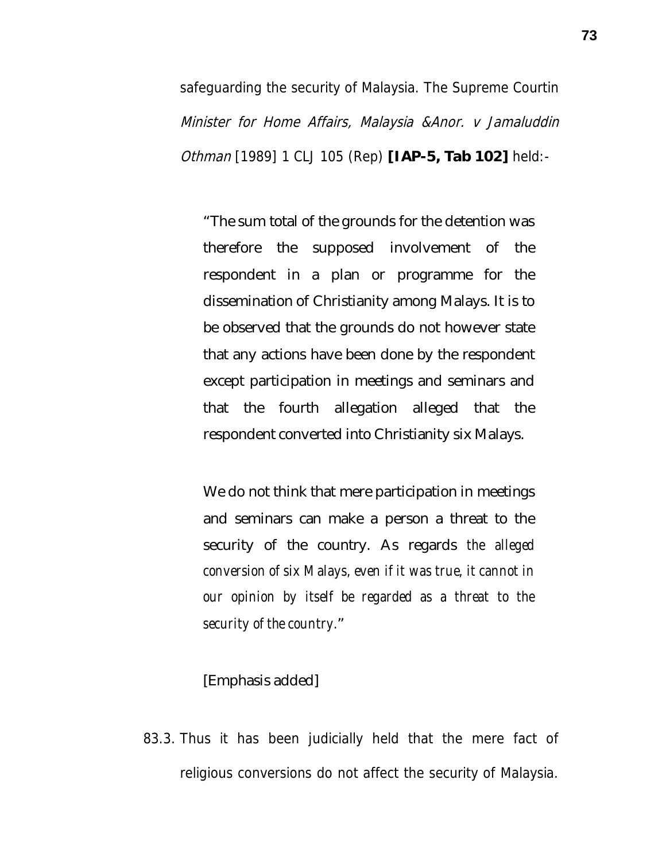safeguarding the security of Malaysia. The Supreme Courtin Minister for Home Affairs, Malaysia &Anor. v Jamaluddin Othman [1989] 1 CLJ 105 (Rep) **[IAP-5, Tab 102]** held:-

"The sum total of the grounds for the detention was therefore the supposed involvement of the respondent in a plan or programme for the dissemination of Christianity among Malays. It is to be observed that the grounds do not however state that any actions have been done by the respondent except participation in meetings and seminars and that the fourth allegation alleged that the respondent converted into Christianity six Malays.

We do not think that mere participation in meetings and seminars can make a person a threat to the security of the country. As regards *the alleged conversion of six Malays, even if it was true, it cannot in our opinion by itself be regarded as a threat to the security of the country.*"

## [Emphasis added]

83.3. Thus it has been judicially held that the mere fact of religious conversions do not affect the security of Malaysia.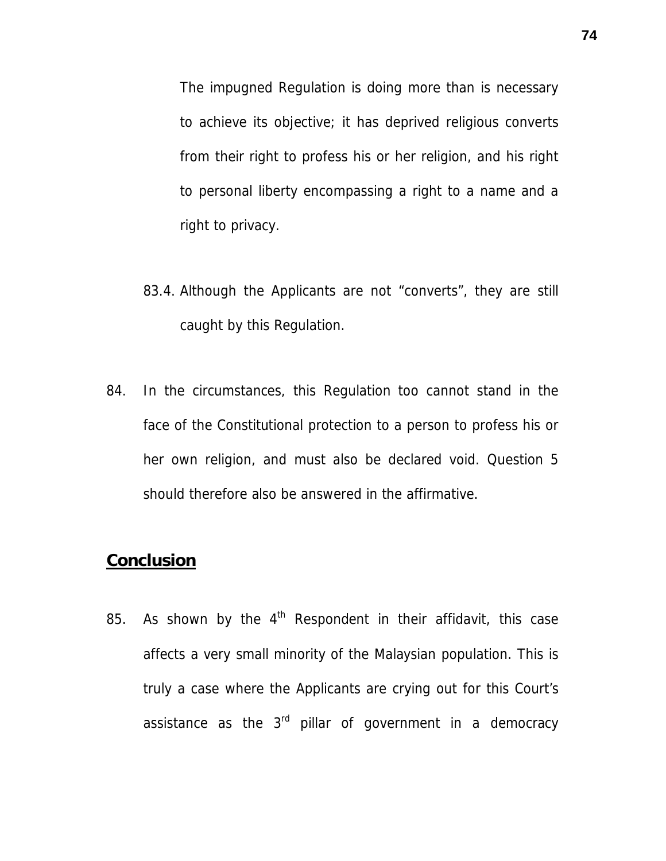The impugned Regulation is doing more than is necessary to achieve its objective; it has deprived religious converts from their right to profess his or her religion, and his right to personal liberty encompassing a right to a name and a right to privacy.

- 83.4. Although the Applicants are not "converts", they are still caught by this Regulation.
- 84. In the circumstances, this Regulation too cannot stand in the face of the Constitutional protection to a person to profess his or her own religion, and must also be declared void. Question 5 should therefore also be answered in the affirmative.

## **Conclusion**

85. As shown by the  $4<sup>th</sup>$  Respondent in their affidavit, this case affects a very small minority of the Malaysian population. This is truly a case where the Applicants are crying out for this Court's assistance as the  $3<sup>rd</sup>$  pillar of government in a democracy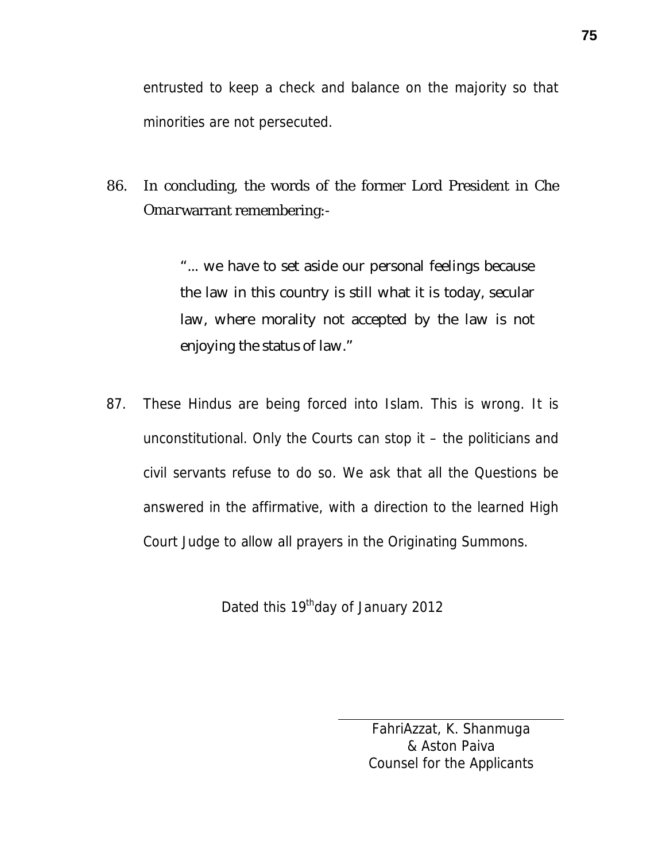entrusted to keep a check and balance on the majority so that minorities are not persecuted.

86. In concluding, the words of the former Lord President in *Che Omar*warrant remembering:-

> "... we have to set aside our personal feelings because the law in this country is still what it is today, secular law, where morality not accepted by the law is not enjoying the status of law."

87. These Hindus are being forced into Islam. This is wrong. It is unconstitutional. Only the Courts can stop it – the politicians and civil servants refuse to do so. We ask that all the Questions be answered in the affirmative, with a direction to the learned High Court Judge to allow all prayers in the Originating Summons.

Dated this 19<sup>th</sup>day of January 2012

FahriAzzat, K. Shanmuga & Aston Paiva Counsel for the Applicants